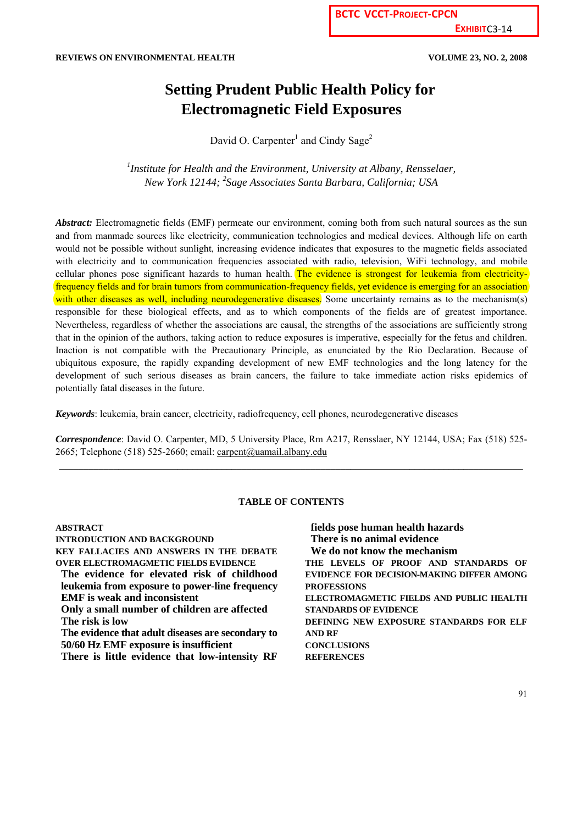# **Setting Prudent Public Health Policy for Electromagnetic Field Exposures**

David O. Carpenter<sup>1</sup> and Cindy Sage<sup>2</sup>

<sup>1</sup> Institute for Health and the Environment, University at Albany, Rensselaer, *New York 12144; 2 Sage Associates Santa Barbara, California; USA* 

*Abstract:* Electromagnetic fields (EMF) permeate our environment, coming both from such natural sources as the sun and from manmade sources like electricity, communication technologies and medical devices. Although life on earth would not be possible without sunlight, increasing evidence indicates that exposures to the magnetic fields associated with electricity and to communication frequencies associated with radio, television, WiFi technology, and mobile cellular phones pose significant hazards to human health. The evidence is strongest for leukemia from electricityfrequency fields and for brain tumors from communication-frequency fields, yet evidence is emerging for an association with other diseases as well, including neurodegenerative diseases. Some uncertainty remains as to the mechanism(s) responsible for these biological effects, and as to which components of the fields are of greatest importance. Nevertheless, regardless of whether the associations are causal, the strengths of the associations are sufficiently strong that in the opinion of the authors, taking action to reduce exposures is imperative, especially for the fetus and children. Inaction is not compatible with the Precautionary Principle, as enunciated by the Rio Declaration. Because of ubiquitous exposure, the rapidly expanding development of new EMF technologies and the long latency for the development of such serious diseases as brain cancers, the failure to take immediate action risks epidemics of potentially fatal diseases in the future.

*Keywords*: leukemia, brain cancer, electricity, radiofrequency, cell phones, neurodegenerative diseases

*Correspondence*: David O. Carpenter, MD, 5 University Place, Rm A217, Rensslaer, NY 12144, USA; Fax (518) 525- 2665; Telephone (518) 525-2660; email: [carpent@uamail.albany.edu](mailto:carpent@uamail.albany.edu)

#### **TABLE OF CONTENTS**

#### **ABSTRACT**

**INTRODUCTION AND BACKGROUND KEY FALLACIES AND ANSWERS IN THE DEBATE OVER ELECTROMAGMETIC FIELDS EVIDENCE The evidence for elevated risk of childhood leukemia from exposure to power-line frequency EMF is weak and inconsistent Only a small number of children are affected The risk is low The evidence that adult diseases are secondary to 50/60 Hz EMF exposure is insufficient There is little evidence that low-intensity RF** 

**fields pose human health hazards There is no animal evidence We do not know the mechanism THE LEVELS OF PROOF AND STANDARDS OF EVIDENCE FOR DECISION-MAKING DIFFER AMONG PROFESSIONS ELECTROMAGMETIC FIELDS AND PUBLIC HEALTH STANDARDS OF EVIDENCE DEFINING NEW EXPOSURE STANDARDS FOR ELF AND RF CONCLUSIONS REFERENCES**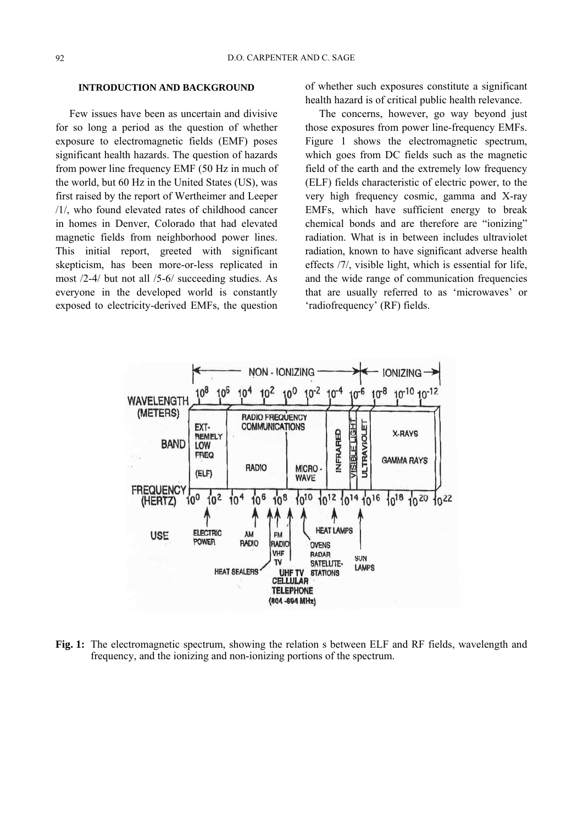#### **INTRODUCTION AND BACKGROUND**

Few issues have been as uncertain and divisive for so long a period as the question of whether exposure to electromagnetic fields (EMF) poses significant health hazards. The question of hazards from power line frequency EMF (50 Hz in much of the world, but 60 Hz in the United States (US), was first raised by the report of Wertheimer and Leeper /1/, who found elevated rates of childhood cancer in homes in Denver, Colorado that had elevated magnetic fields from neighborhood power lines. This initial report, greeted with significant skepticism, has been more-or-less replicated in most /2-4/ but not all /5-6/ succeeding studies. As everyone in the developed world is constantly exposed to electricity-derived EMFs, the question of whether such exposures constitute a significant health hazard is of critical public health relevance.

The concerns, however, go way beyond just those exposures from power line-frequency EMFs. Figure 1 shows the electromagnetic spectrum, which goes from DC fields such as the magnetic field of the earth and the extremely low frequency (ELF) fields characteristic of electric power, to the very high frequency cosmic, gamma and X-ray EMFs, which have sufficient energy to break chemical bonds and are therefore are "ionizing" radiation. What is in between includes ultraviolet radiation, known to have significant adverse health effects /7/, visible light, which is essential for life, and the wide range of communication frequencies that are usually referred to as 'microwaves' or 'radiofrequency' (RF) fields.



**Fig. 1:** The electromagnetic spectrum, showing the relation s between ELF and RF fields, wavelength and frequency, and the ionizing and non-ionizing portions of the spectrum.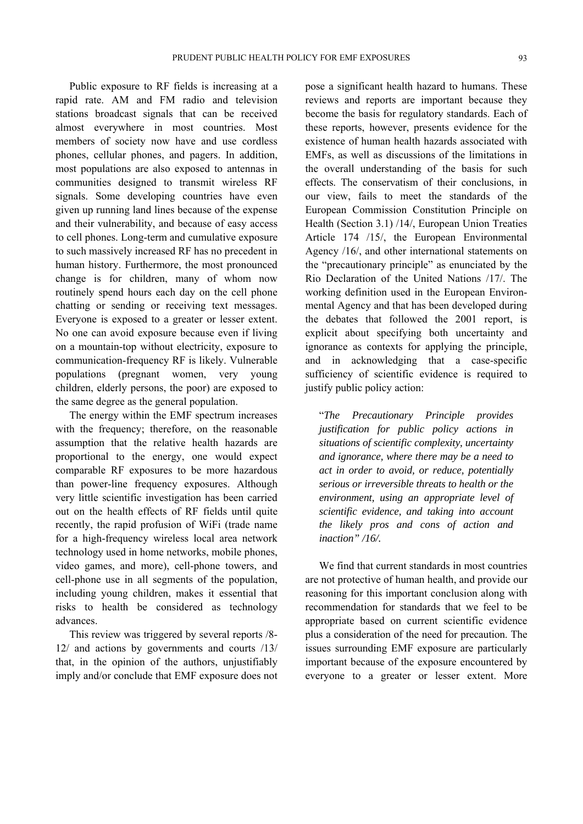Public exposure to RF fields is increasing at a rapid rate. AM and FM radio and television stations broadcast signals that can be received almost everywhere in most countries. Most members of society now have and use cordless phones, cellular phones, and pagers. In addition, most populations are also exposed to antennas in communities designed to transmit wireless RF signals. Some developing countries have even given up running land lines because of the expense and their vulnerability, and because of easy access to cell phones. Long-term and cumulative exposure to such massively increased RF has no precedent in human history. Furthermore, the most pronounced change is for children, many of whom now routinely spend hours each day on the cell phone chatting or sending or receiving text messages. Everyone is exposed to a greater or lesser extent. No one can avoid exposure because even if living on a mountain-top without electricity, exposure to communication-frequency RF is likely. Vulnerable populations (pregnant women, very young children, elderly persons, the poor) are exposed to the same degree as the general population.

The energy within the EMF spectrum increases with the frequency; therefore, on the reasonable assumption that the relative health hazards are proportional to the energy, one would expect comparable RF exposures to be more hazardous than power-line frequency exposures. Although very little scientific investigation has been carried out on the health effects of RF fields until quite recently, the rapid profusion of WiFi (trade name for a high-frequency wireless local area network technology used in home networks, mobile phones, video games, and more), cell-phone towers, and cell-phone use in all segments of the population, including young children, makes it essential that risks to health be considered as technology advances.

This review was triggered by several reports /8- 12/ and actions by governments and courts /13/ that, in the opinion of the authors, unjustifiably imply and/or conclude that EMF exposure does not pose a significant health hazard to humans. These reviews and reports are important because they become the basis for regulatory standards. Each of these reports, however, presents evidence for the existence of human health hazards associated with EMFs, as well as discussions of the limitations in the overall understanding of the basis for such effects. The conservatism of their conclusions, in our view, fails to meet the standards of the European Commission Constitution Principle on Health (Section 3.1) /14/, European Union Treaties Article 174 /15/, the European Environmental Agency /16/, and other international statements on the "precautionary principle" as enunciated by the Rio Declaration of the United Nations /17/. The working definition used in the European Environmental Agency and that has been developed during the debates that followed the 2001 report, is explicit about specifying both uncertainty and ignorance as contexts for applying the principle, and in acknowledging that a case-specific sufficiency of scientific evidence is required to justify public policy action:

"*The Precautionary Principle provides justification for public policy actions in situations of scientific complexity, uncertainty and ignorance, where there may be a need to act in order to avoid, or reduce, potentially serious or irreversible threats to health or the environment, using an appropriate level of scientific evidence, and taking into account the likely pros and cons of action and inaction" /16/.*

We find that current standards in most countries are not protective of human health, and provide our reasoning for this important conclusion along with recommendation for standards that we feel to be appropriate based on current scientific evidence plus a consideration of the need for precaution. The issues surrounding EMF exposure are particularly important because of the exposure encountered by everyone to a greater or lesser extent. More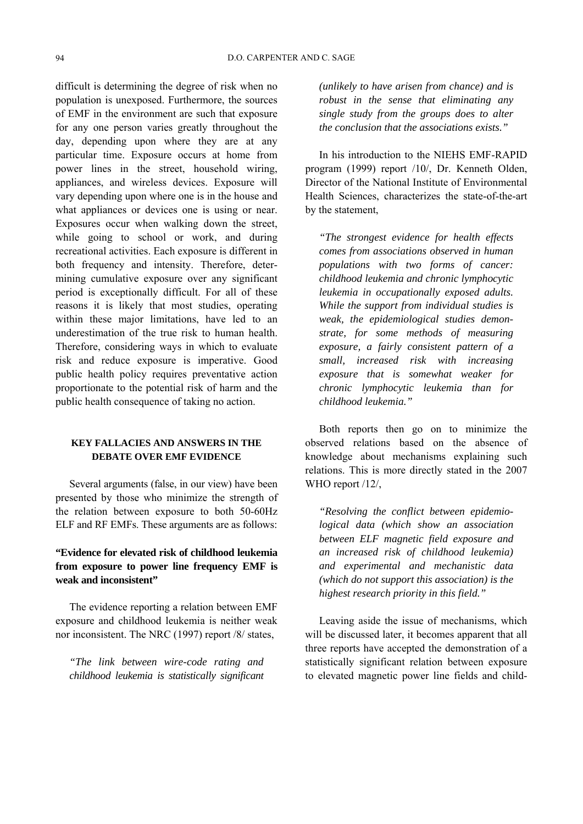difficult is determining the degree of risk when no population is unexposed. Furthermore, the sources of EMF in the environment are such that exposure for any one person varies greatly throughout the day, depending upon where they are at any particular time. Exposure occurs at home from power lines in the street, household wiring, appliances, and wireless devices. Exposure will vary depending upon where one is in the house and what appliances or devices one is using or near. Exposures occur when walking down the street, while going to school or work, and during recreational activities. Each exposure is different in both frequency and intensity. Therefore, determining cumulative exposure over any significant period is exceptionally difficult. For all of these reasons it is likely that most studies, operating within these major limitations, have led to an underestimation of the true risk to human health. Therefore, considering ways in which to evaluate risk and reduce exposure is imperative. Good public health policy requires preventative action proportionate to the potential risk of harm and the public health consequence of taking no action.

## **KEY FALLACIES AND ANSWERS IN THE DEBATE OVER EMF EVIDENCE**

Several arguments (false, in our view) have been presented by those who minimize the strength of the relation between exposure to both 50-60Hz ELF and RF EMFs. These arguments are as follows:

# **"Evidence for elevated risk of childhood leukemia from exposure to power line frequency EMF is weak and inconsistent"**

The evidence reporting a relation between EMF exposure and childhood leukemia is neither weak nor inconsistent. The NRC (1997) report /8/ states,

*"The link between wire-code rating and childhood leukemia is statistically significant* 

*(unlikely to have arisen from chance) and is robust in the sense that eliminating any single study from the groups does to alter the conclusion that the associations exists."* 

In his introduction to the NIEHS EMF-RAPID program (1999) report /10/, Dr. Kenneth Olden, Director of the National Institute of Environmental Health Sciences, characterizes the state-of-the-art by the statement,

*"The strongest evidence for health effects comes from associations observed in human populations with two forms of cancer: childhood leukemia and chronic lymphocytic leukemia in occupationally exposed adults. While the support from individual studies is weak, the epidemiological studies demonstrate, for some methods of measuring exposure, a fairly consistent pattern of a small, increased risk with increasing exposure that is somewhat weaker for chronic lymphocytic leukemia than for childhood leukemia."* 

Both reports then go on to minimize the observed relations based on the absence of knowledge about mechanisms explaining such relations. This is more directly stated in the 2007 WHO report /12/,

*"Resolving the conflict between epidemiological data (which show an association between ELF magnetic field exposure and an increased risk of childhood leukemia) and experimental and mechanistic data (which do not support this association) is the highest research priority in this field."* 

Leaving aside the issue of mechanisms, which will be discussed later, it becomes apparent that all three reports have accepted the demonstration of a statistically significant relation between exposure to elevated magnetic power line fields and child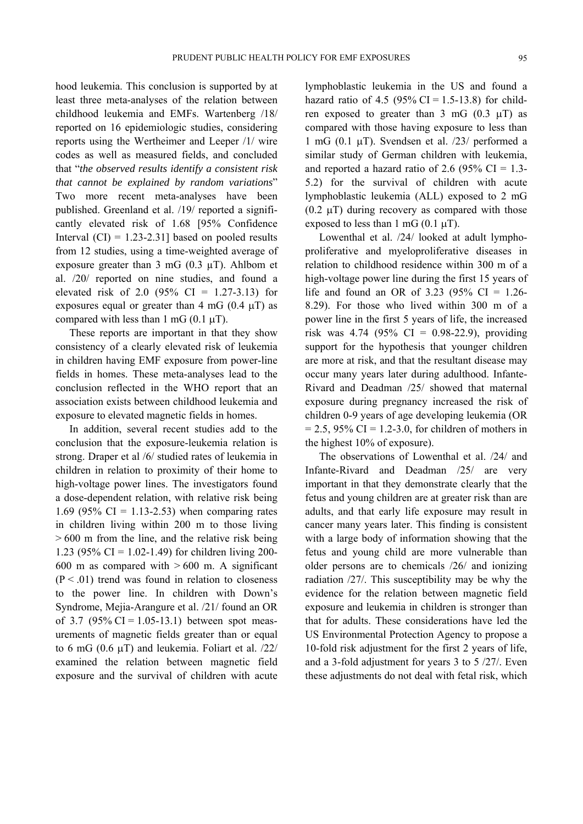hood leukemia. This conclusion is supported by at least three meta-analyses of the relation between childhood leukemia and EMFs. Wartenberg /18/ reported on 16 epidemiologic studies, considering reports using the Wertheimer and Leeper /1/ wire codes as well as measured fields, and concluded that "*the observed results identify a consistent risk that cannot be explained by random variations*" Two more recent meta-analyses have been published. Greenland et al. /19/ reported a significantly elevated risk of 1.68 [95% Confidence Interval  $(CI) = 1.23-2.31$ ] based on pooled results from 12 studies, using a time-weighted average of exposure greater than  $3 \text{ mG}$  (0.3  $\mu$ T). Ahlbom et al. /20/ reported on nine studies, and found a elevated risk of 2.0  $(95\% \text{ CI} = 1.27-3.13)$  for exposures equal or greater than  $4 \text{ mG}$  (0.4  $\text{ uT}$ ) as compared with less than  $1 \text{ mG}$  (0.1  $\mu$ T).

These reports are important in that they show consistency of a clearly elevated risk of leukemia in children having EMF exposure from power-line fields in homes. These meta-analyses lead to the conclusion reflected in the WHO report that an association exists between childhood leukemia and exposure to elevated magnetic fields in homes.

In addition, several recent studies add to the conclusion that the exposure-leukemia relation is strong. Draper et al /6/ studied rates of leukemia in children in relation to proximity of their home to high-voltage power lines. The investigators found a dose-dependent relation, with relative risk being 1.69 (95% CI = 1.13-2.53) when comparing rates in children living within 200 m to those living  $> 600$  m from the line, and the relative risk being 1.23 (95% CI = 1.02-1.49) for children living 200-600 m as compared with  $> 600$  m. A significant  $(P < .01)$  trend was found in relation to closeness to the power line. In children with Down's Syndrome, Mejia-Arangure et al. /21/ found an OR of 3.7 (95% CI =  $1.05 - 13.1$ ) between spot measurements of magnetic fields greater than or equal to 6 mG (0.6 μT) and leukemia. Foliart et al. /22/ examined the relation between magnetic field exposure and the survival of children with acute

lymphoblastic leukemia in the US and found a hazard ratio of 4.5 (95% CI = 1.5-13.8) for children exposed to greater than 3 mG (0.3 μT) as compared with those having exposure to less than 1 mG (0.1  $\mu$ T). Svendsen et al. /23/ performed a similar study of German children with leukemia, and reported a hazard ratio of 2.6 (95% CI =  $1.3$ -5.2) for the survival of children with acute lymphoblastic leukemia (ALL) exposed to 2 mG  $(0.2 \mu T)$  during recovery as compared with those exposed to less than 1 mG (0.1  $\mu$ T).

Lowenthal et al. /24/ looked at adult lymphoproliferative and myeloproliferative diseases in relation to childhood residence within 300 m of a high-voltage power line during the first 15 years of life and found an OR of 3.23 (95% CI =  $1.26$ -8.29). For those who lived within 300 m of a power line in the first 5 years of life, the increased risk was 4.74 (95% CI = 0.98-22.9), providing support for the hypothesis that younger children are more at risk, and that the resultant disease may occur many years later during adulthood. Infante-Rivard and Deadman /25/ showed that maternal exposure during pregnancy increased the risk of children 0-9 years of age developing leukemia (OR  $= 2.5, 95\% \text{ CI} = 1.2 - 3.0, \text{ for children of mothers in}$ the highest 10% of exposure).

The observations of Lowenthal et al. /24/ and Infante-Rivard and Deadman /25/ are very important in that they demonstrate clearly that the fetus and young children are at greater risk than are adults, and that early life exposure may result in cancer many years later. This finding is consistent with a large body of information showing that the fetus and young child are more vulnerable than older persons are to chemicals /26/ and ionizing radiation /27/. This susceptibility may be why the evidence for the relation between magnetic field exposure and leukemia in children is stronger than that for adults. These considerations have led the US Environmental Protection Agency to propose a 10-fold risk adjustment for the first 2 years of life, and a 3-fold adjustment for years 3 to 5 /27/. Even these adjustments do not deal with fetal risk, which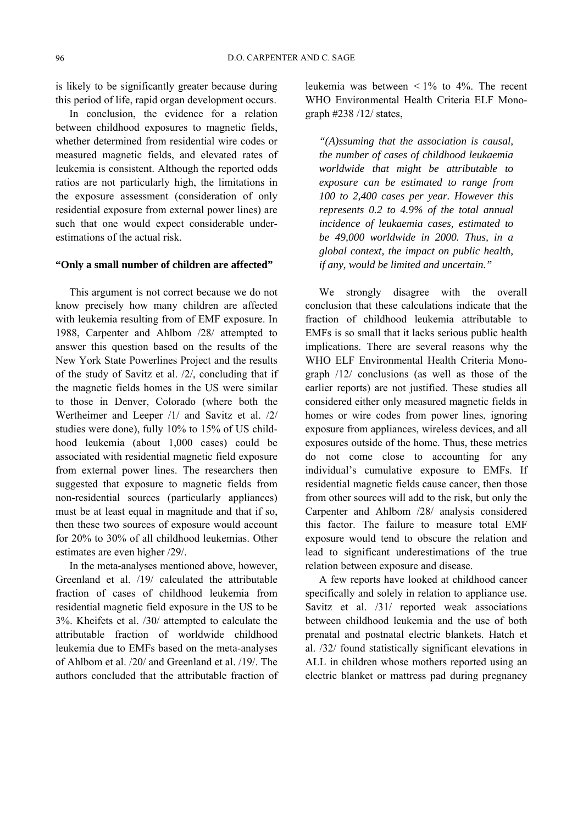is likely to be significantly greater because during this period of life, rapid organ development occurs.

In conclusion, the evidence for a relation between childhood exposures to magnetic fields, whether determined from residential wire codes or measured magnetic fields, and elevated rates of leukemia is consistent. Although the reported odds ratios are not particularly high, the limitations in the exposure assessment (consideration of only residential exposure from external power lines) are such that one would expect considerable underestimations of the actual risk.

### **"Only a small number of children are affected"**

This argument is not correct because we do not know precisely how many children are affected with leukemia resulting from of EMF exposure. In 1988, Carpenter and Ahlbom /28/ attempted to answer this question based on the results of the New York State Powerlines Project and the results of the study of Savitz et al. /2/, concluding that if the magnetic fields homes in the US were similar to those in Denver, Colorado (where both the Wertheimer and Leeper /1/ and Savitz et al. /2/ studies were done), fully 10% to 15% of US childhood leukemia (about 1,000 cases) could be associated with residential magnetic field exposure from external power lines. The researchers then suggested that exposure to magnetic fields from non-residential sources (particularly appliances) must be at least equal in magnitude and that if so, then these two sources of exposure would account for 20% to 30% of all childhood leukemias. Other estimates are even higher /29/.

In the meta-analyses mentioned above, however, Greenland et al. /19/ calculated the attributable fraction of cases of childhood leukemia from residential magnetic field exposure in the US to be 3%. Kheifets et al. /30/ attempted to calculate the attributable fraction of worldwide childhood leukemia due to EMFs based on the meta-analyses of Ahlbom et al. /20/ and Greenland et al. /19/. The authors concluded that the attributable fraction of leukemia was between  $\leq 1\%$  to 4%. The recent WHO Environmental Health Criteria ELF Monograph #238 /12/ states,

*"(A)ssuming that the association is causal, the number of cases of childhood leukaemia worldwide that might be attributable to exposure can be estimated to range from 100 to 2,400 cases per year. However this represents 0.2 to 4.9% of the total annual incidence of leukaemia cases, estimated to be 49,000 worldwide in 2000. Thus, in a global context, the impact on public health, if any, would be limited and uncertain."* 

We strongly disagree with the overall conclusion that these calculations indicate that the fraction of childhood leukemia attributable to EMFs is so small that it lacks serious public health implications. There are several reasons why the WHO ELF Environmental Health Criteria Monograph /12/ conclusions (as well as those of the earlier reports) are not justified. These studies all considered either only measured magnetic fields in homes or wire codes from power lines, ignoring exposure from appliances, wireless devices, and all exposures outside of the home. Thus, these metrics do not come close to accounting for any individual's cumulative exposure to EMFs. If residential magnetic fields cause cancer, then those from other sources will add to the risk, but only the Carpenter and Ahlbom /28/ analysis considered this factor. The failure to measure total EMF exposure would tend to obscure the relation and lead to significant underestimations of the true relation between exposure and disease.

A few reports have looked at childhood cancer specifically and solely in relation to appliance use. Savitz et al. /31/ reported weak associations between childhood leukemia and the use of both prenatal and postnatal electric blankets. Hatch et al. /32/ found statistically significant elevations in ALL in children whose mothers reported using an electric blanket or mattress pad during pregnancy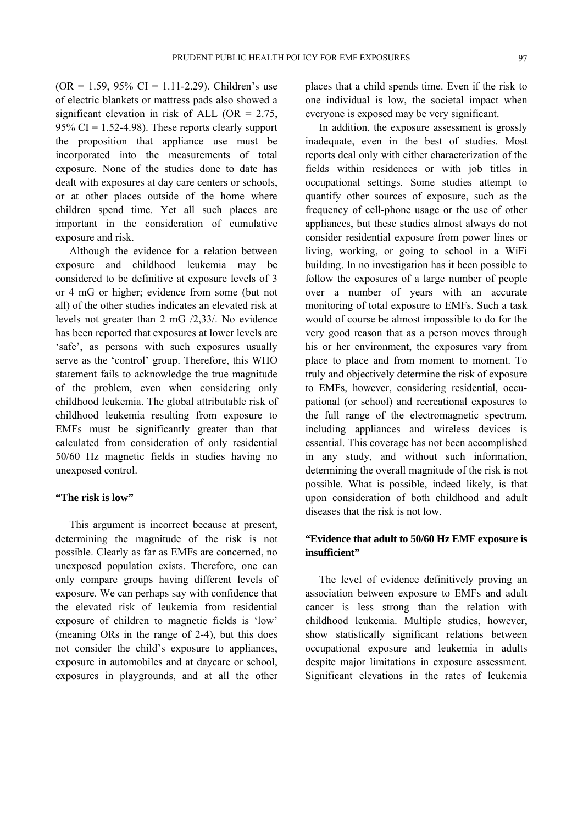$(OR = 1.59, 95\% \text{ CI} = 1.11 - 2.29)$ . Children's use of electric blankets or mattress pads also showed a significant elevation in risk of ALL (OR =  $2.75$ , 95% CI =  $1.52 - 4.98$ ). These reports clearly support the proposition that appliance use must be incorporated into the measurements of total exposure. None of the studies done to date has dealt with exposures at day care centers or schools, or at other places outside of the home where children spend time. Yet all such places are important in the consideration of cumulative exposure and risk.

Although the evidence for a relation between exposure and childhood leukemia may be considered to be definitive at exposure levels of 3 or 4 mG or higher; evidence from some (but not all) of the other studies indicates an elevated risk at levels not greater than 2 mG /2,33/. No evidence has been reported that exposures at lower levels are 'safe', as persons with such exposures usually serve as the 'control' group. Therefore, this WHO statement fails to acknowledge the true magnitude of the problem, even when considering only childhood leukemia. The global attributable risk of childhood leukemia resulting from exposure to EMFs must be significantly greater than that calculated from consideration of only residential 50/60 Hz magnetic fields in studies having no unexposed control.

### **"The risk is low"**

This argument is incorrect because at present, determining the magnitude of the risk is not possible. Clearly as far as EMFs are concerned, no unexposed population exists. Therefore, one can only compare groups having different levels of exposure. We can perhaps say with confidence that the elevated risk of leukemia from residential exposure of children to magnetic fields is 'low' (meaning ORs in the range of 2-4), but this does not consider the child's exposure to appliances, exposure in automobiles and at daycare or school, exposures in playgrounds, and at all the other

places that a child spends time. Even if the risk to one individual is low, the societal impact when everyone is exposed may be very significant.

In addition, the exposure assessment is grossly inadequate, even in the best of studies. Most reports deal only with either characterization of the fields within residences or with job titles in occupational settings. Some studies attempt to quantify other sources of exposure, such as the frequency of cell-phone usage or the use of other appliances, but these studies almost always do not consider residential exposure from power lines or living, working, or going to school in a WiFi building. In no investigation has it been possible to follow the exposures of a large number of people over a number of years with an accurate monitoring of total exposure to EMFs. Such a task would of course be almost impossible to do for the very good reason that as a person moves through his or her environment, the exposures vary from place to place and from moment to moment. To truly and objectively determine the risk of exposure to EMFs, however, considering residential, occupational (or school) and recreational exposures to the full range of the electromagnetic spectrum, including appliances and wireless devices is essential. This coverage has not been accomplished in any study, and without such information, determining the overall magnitude of the risk is not possible. What is possible, indeed likely, is that upon consideration of both childhood and adult diseases that the risk is not low.

### **"Evidence that adult to 50/60 Hz EMF exposure is insufficient"**

The level of evidence definitively proving an association between exposure to EMFs and adult cancer is less strong than the relation with childhood leukemia. Multiple studies, however, show statistically significant relations between occupational exposure and leukemia in adults despite major limitations in exposure assessment. Significant elevations in the rates of leukemia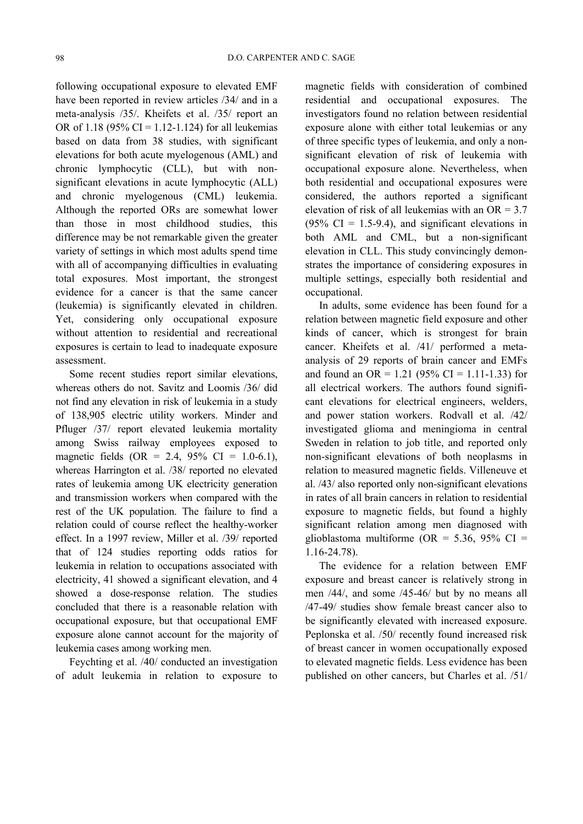following occupational exposure to elevated EMF have been reported in review articles /34/ and in a meta-analysis /35/. Kheifets et al. /35/ report an OR of 1.18 (95% CI = 1.12-1.124) for all leukemias based on data from 38 studies, with significant elevations for both acute myelogenous (AML) and chronic lymphocytic (CLL), but with nonsignificant elevations in acute lymphocytic (ALL) and chronic myelogenous (CML) leukemia. Although the reported ORs are somewhat lower than those in most childhood studies, this difference may be not remarkable given the greater variety of settings in which most adults spend time with all of accompanying difficulties in evaluating total exposures. Most important, the strongest evidence for a cancer is that the same cancer (leukemia) is significantly elevated in children. Yet, considering only occupational exposure without attention to residential and recreational exposures is certain to lead to inadequate exposure assessment.

Some recent studies report similar elevations, whereas others do not. Savitz and Loomis /36/ did not find any elevation in risk of leukemia in a study of 138,905 electric utility workers. Minder and Pfluger /37/ report elevated leukemia mortality among Swiss railway employees exposed to magnetic fields  $(OR = 2.4, 95\% \text{ CI} = 1.0-6.1)$ , whereas Harrington et al. /38/ reported no elevated rates of leukemia among UK electricity generation and transmission workers when compared with the rest of the UK population. The failure to find a relation could of course reflect the healthy-worker effect. In a 1997 review, Miller et al. /39/ reported that of 124 studies reporting odds ratios for leukemia in relation to occupations associated with electricity, 41 showed a significant elevation, and 4 showed a dose-response relation. The studies concluded that there is a reasonable relation with occupational exposure, but that occupational EMF exposure alone cannot account for the majority of leukemia cases among working men.

Feychting et al. /40/ conducted an investigation of adult leukemia in relation to exposure to magnetic fields with consideration of combined residential and occupational exposures. The investigators found no relation between residential exposure alone with either total leukemias or any of three specific types of leukemia, and only a nonsignificant elevation of risk of leukemia with occupational exposure alone. Nevertheless, when both residential and occupational exposures were considered, the authors reported a significant elevation of risk of all leukemias with an  $OR = 3.7$  $(95\% \text{ CI} = 1.5\n-9.4)$ , and significant elevations in both AML and CML, but a non-significant elevation in CLL. This study convincingly demonstrates the importance of considering exposures in multiple settings, especially both residential and occupational.

In adults, some evidence has been found for a relation between magnetic field exposure and other kinds of cancer, which is strongest for brain cancer. Kheifets et al. /41/ performed a metaanalysis of 29 reports of brain cancer and EMFs and found an OR = 1.21 (95% CI = 1.11-1.33) for all electrical workers. The authors found significant elevations for electrical engineers, welders, and power station workers. Rodvall et al. /42/ investigated glioma and meningioma in central Sweden in relation to job title, and reported only non-significant elevations of both neoplasms in relation to measured magnetic fields. Villeneuve et al. /43/ also reported only non-significant elevations in rates of all brain cancers in relation to residential exposure to magnetic fields, but found a highly significant relation among men diagnosed with glioblastoma multiforme (OR =  $5.36$ ,  $95\%$  CI = 1.16-24.78).

The evidence for a relation between EMF exposure and breast cancer is relatively strong in men /44/, and some /45-46/ but by no means all /47-49/ studies show female breast cancer also to be significantly elevated with increased exposure. Peplonska et al. /50/ recently found increased risk of breast cancer in women occupationally exposed to elevated magnetic fields. Less evidence has been published on other cancers, but Charles et al. /51/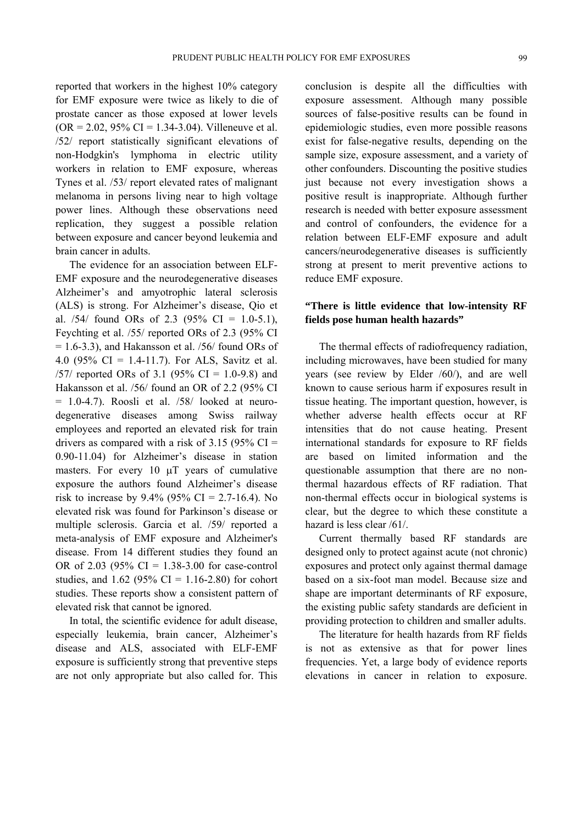reported that workers in the highest 10% category for EMF exposure were twice as likely to die of prostate cancer as those exposed at lower levels  $(OR = 2.02, 95\% \text{ CI} = 1.34-3.04)$ . Villeneuve et al. /52/ report statistically significant elevations of non-Hodgkin's lymphoma in electric utility workers in relation to EMF exposure, whereas Tynes et al. /53/ report elevated rates of malignant melanoma in persons living near to high voltage power lines. Although these observations need replication, they suggest a possible relation between exposure and cancer beyond leukemia and brain cancer in adults.

The evidence for an association between ELF-EMF exposure and the neurodegenerative diseases Alzheimer's and amyotrophic lateral sclerosis (ALS) is strong. For Alzheimer's disease, Qio et al.  $/54/$  found ORs of 2.3 (95% CI = 1.0-5.1), Feychting et al. /55/ reported ORs of 2.3 (95% CI  $= 1.6 - 3.3$ ), and Hakansson et al.  $/56/$  found ORs of 4.0 (95% CI = 1.4-11.7). For ALS, Savitz et al. /57/ reported ORs of 3.1 (95% CI = 1.0-9.8) and Hakansson et al. /56/ found an OR of 2.2 (95% CI  $= 1.0 - 4.7$ ). Roosli et al.  $/58/$  looked at neurodegenerative diseases among Swiss railway employees and reported an elevated risk for train drivers as compared with a risk of  $3.15$  (95% CI = 0.90-11.04) for Alzheimer's disease in station masters. For every 10  $\mu$ T years of cumulative exposure the authors found Alzheimer's disease risk to increase by  $9.4\%$  ( $95\%$  CI = 2.7-16.4). No elevated risk was found for Parkinson's disease or multiple sclerosis. Garcia et al. /59/ reported a meta-analysis of EMF exposure and Alzheimer's disease. From 14 different studies they found an OR of 2.03 (95% CI =  $1.38-3.00$  for case-control studies, and  $1.62$  (95% CI = 1.16-2.80) for cohort studies. These reports show a consistent pattern of elevated risk that cannot be ignored.

In total, the scientific evidence for adult disease, especially leukemia, brain cancer, Alzheimer's disease and ALS, associated with ELF-EMF exposure is sufficiently strong that preventive steps are not only appropriate but also called for. This conclusion is despite all the difficulties with exposure assessment. Although many possible sources of false-positive results can be found in epidemiologic studies, even more possible reasons exist for false-negative results, depending on the sample size, exposure assessment, and a variety of other confounders. Discounting the positive studies just because not every investigation shows a positive result is inappropriate. Although further research is needed with better exposure assessment and control of confounders, the evidence for a relation between ELF-EMF exposure and adult cancers/neurodegenerative diseases is sufficiently strong at present to merit preventive actions to reduce EMF exposure.

## **"There is little evidence that low-intensity RF fields pose human health hazards"**

The thermal effects of radiofrequency radiation, including microwaves, have been studied for many years (see review by Elder /60/), and are well known to cause serious harm if exposures result in tissue heating. The important question, however, is whether adverse health effects occur at RF intensities that do not cause heating. Present international standards for exposure to RF fields are based on limited information and the questionable assumption that there are no nonthermal hazardous effects of RF radiation. That non-thermal effects occur in biological systems is clear, but the degree to which these constitute a hazard is less clear /61/.

Current thermally based RF standards are designed only to protect against acute (not chronic) exposures and protect only against thermal damage based on a six-foot man model. Because size and shape are important determinants of RF exposure, the existing public safety standards are deficient in providing protection to children and smaller adults.

The literature for health hazards from RF fields is not as extensive as that for power lines frequencies. Yet, a large body of evidence reports elevations in cancer in relation to exposure.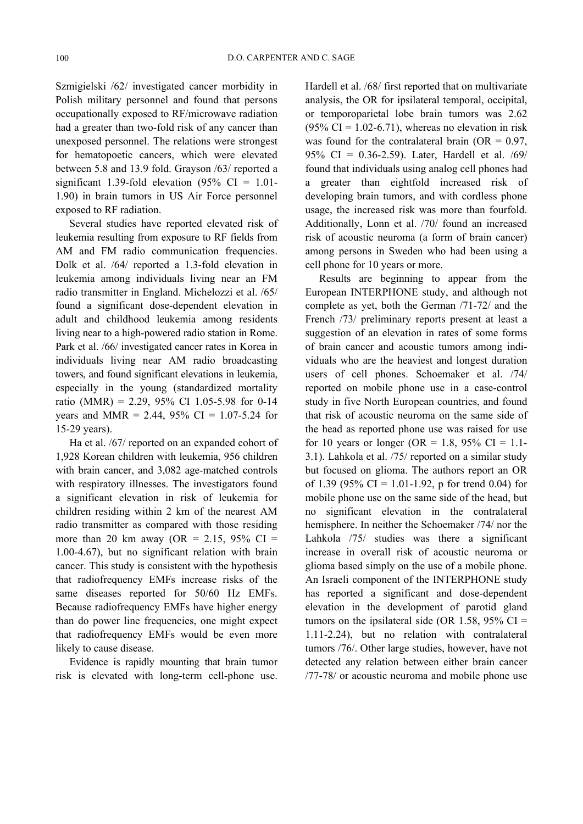Szmigielski /62/ investigated cancer morbidity in Polish military personnel and found that persons occupationally exposed to RF/microwave radiation had a greater than two-fold risk of any cancer than unexposed personnel. The relations were strongest for hematopoetic cancers, which were elevated between 5.8 and 13.9 fold. Grayson /63/ reported a significant 1.39-fold elevation  $(95\% \text{ CI} = 1.01$ -1.90) in brain tumors in US Air Force personnel exposed to RF radiation.

Several studies have reported elevated risk of leukemia resulting from exposure to RF fields from AM and FM radio communication frequencies. Dolk et al. /64/ reported a 1.3-fold elevation in leukemia among individuals living near an FM radio transmitter in England. Michelozzi et al. /65/ found a significant dose-dependent elevation in adult and childhood leukemia among residents living near to a high-powered radio station in Rome. Park et al. /66/ investigated cancer rates in Korea in individuals living near AM radio broadcasting towers, and found significant elevations in leukemia, especially in the young (standardized mortality ratio (MMR) = 2.29, 95% CI 1.05-5.98 for 0-14 years and MMR = 2.44, 95% CI = 1.07-5.24 for 15-29 years).

Ha et al. /67/ reported on an expanded cohort of 1,928 Korean children with leukemia, 956 children with brain cancer, and 3,082 age-matched controls with respiratory illnesses. The investigators found a significant elevation in risk of leukemia for children residing within 2 km of the nearest AM radio transmitter as compared with those residing more than 20 km away (OR = 2.15, 95% CI = 1.00-4.67), but no significant relation with brain cancer. This study is consistent with the hypothesis that radiofrequency EMFs increase risks of the same diseases reported for 50/60 Hz EMFs. Because radiofrequency EMFs have higher energy than do power line frequencies, one might expect that radiofrequency EMFs would be even more likely to cause disease.

Evidence is rapidly mounting that brain tumor risk is elevated with long-term cell-phone use.

Hardell et al. /68/ first reported that on multivariate analysis, the OR for ipsilateral temporal, occipital, or temporoparietal lobe brain tumors was 2.62  $(95\% \text{ CI} = 1.02 - 6.71)$ , whereas no elevation in risk was found for the contralateral brain ( $OR = 0.97$ , 95% CI = 0.36-2.59). Later, Hardell et al. /69/ found that individuals using analog cell phones had a greater than eightfold increased risk of developing brain tumors, and with cordless phone usage, the increased risk was more than fourfold. Additionally, Lonn et al. /70/ found an increased risk of acoustic neuroma (a form of brain cancer) among persons in Sweden who had been using a cell phone for 10 years or more.

Results are beginning to appear from the European INTERPHONE study, and although not complete as yet, both the German /71-72/ and the French /73/ preliminary reports present at least a suggestion of an elevation in rates of some forms of brain cancer and acoustic tumors among individuals who are the heaviest and longest duration users of cell phones. Schoemaker et al. /74/ reported on mobile phone use in a case-control study in five North European countries, and found that risk of acoustic neuroma on the same side of the head as reported phone use was raised for use for 10 years or longer (OR = 1.8, 95% CI = 1.1-3.1). Lahkola et al. /75/ reported on a similar study but focused on glioma. The authors report an OR of 1.39 (95% CI = 1.01-1.92, p for trend 0.04) for mobile phone use on the same side of the head, but no significant elevation in the contralateral hemisphere. In neither the Schoemaker /74/ nor the Lahkola /75/ studies was there a significant increase in overall risk of acoustic neuroma or glioma based simply on the use of a mobile phone. An Israeli component of the INTERPHONE study has reported a significant and dose-dependent elevation in the development of parotid gland tumors on the ipsilateral side (OR 1.58, 95% CI = 1.11-2.24), but no relation with contralateral tumors /76/. Other large studies, however, have not detected any relation between either brain cancer /77-78/ or acoustic neuroma and mobile phone use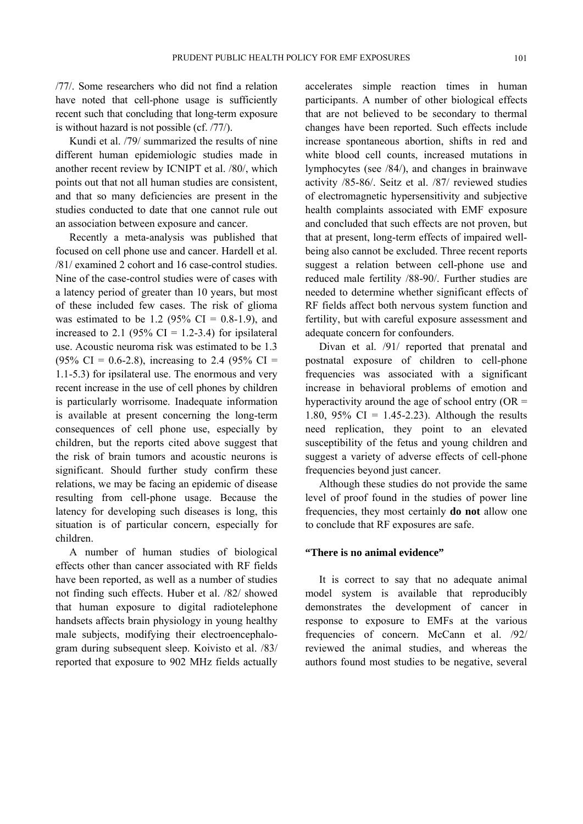/77/. Some researchers who did not find a relation have noted that cell-phone usage is sufficiently recent such that concluding that long-term exposure is without hazard is not possible (cf. /77/).

Kundi et al. /79/ summarized the results of nine different human epidemiologic studies made in another recent review by ICNIPT et al. /80/, which points out that not all human studies are consistent, and that so many deficiencies are present in the studies conducted to date that one cannot rule out an association between exposure and cancer.

Recently a meta-analysis was published that focused on cell phone use and cancer. Hardell et al. /81/ examined 2 cohort and 16 case-control studies. Nine of the case-control studies were of cases with a latency period of greater than 10 years, but most of these included few cases. The risk of glioma was estimated to be 1.2 (95% CI =  $0.8-1.9$ ), and increased to 2.1 (95% CI = 1.2-3.4) for ipsilateral use. Acoustic neuroma risk was estimated to be 1.3 (95% CI = 0.6-2.8), increasing to 2.4 (95% CI = 1.1-5.3) for ipsilateral use. The enormous and very recent increase in the use of cell phones by children is particularly worrisome. Inadequate information is available at present concerning the long-term consequences of cell phone use, especially by children, but the reports cited above suggest that the risk of brain tumors and acoustic neurons is significant. Should further study confirm these relations, we may be facing an epidemic of disease resulting from cell-phone usage. Because the latency for developing such diseases is long, this situation is of particular concern, especially for children.

A number of human studies of biological effects other than cancer associated with RF fields have been reported, as well as a number of studies not finding such effects. Huber et al. /82/ showed that human exposure to digital radiotelephone handsets affects brain physiology in young healthy male subjects, modifying their electroencephalogram during subsequent sleep. Koivisto et al. /83/ reported that exposure to 902 MHz fields actually accelerates simple reaction times in human participants. A number of other biological effects that are not believed to be secondary to thermal changes have been reported. Such effects include increase spontaneous abortion, shifts in red and white blood cell counts, increased mutations in lymphocytes (see /84/), and changes in brainwave activity /85-86/. Seitz et al. /87/ reviewed studies of electromagnetic hypersensitivity and subjective health complaints associated with EMF exposure and concluded that such effects are not proven, but that at present, long-term effects of impaired wellbeing also cannot be excluded. Three recent reports suggest a relation between cell-phone use and reduced male fertility /88-90/. Further studies are needed to determine whether significant effects of RF fields affect both nervous system function and fertility, but with careful exposure assessment and adequate concern for confounders.

Divan et al. /91/ reported that prenatal and postnatal exposure of children to cell-phone frequencies was associated with a significant increase in behavioral problems of emotion and hyperactivity around the age of school entry  $(OR =$ 1.80, 95% CI =  $1.45-2.23$ ). Although the results need replication, they point to an elevated susceptibility of the fetus and young children and suggest a variety of adverse effects of cell-phone frequencies beyond just cancer.

Although these studies do not provide the same level of proof found in the studies of power line frequencies, they most certainly **do not** allow one to conclude that RF exposures are safe.

### **"There is no animal evidence"**

It is correct to say that no adequate animal model system is available that reproducibly demonstrates the development of cancer in response to exposure to EMFs at the various frequencies of concern. McCann et al. /92/ reviewed the animal studies, and whereas the authors found most studies to be negative, several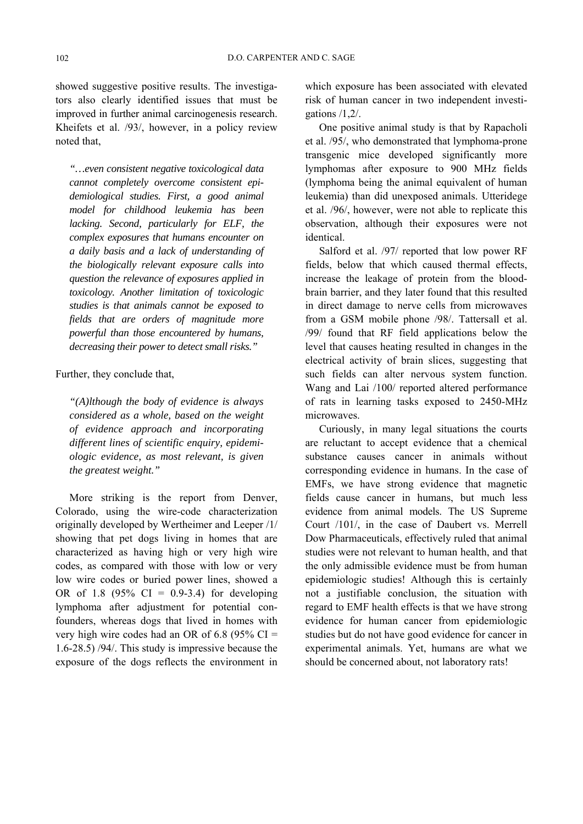showed suggestive positive results. The investigators also clearly identified issues that must be improved in further animal carcinogenesis research. Kheifets et al. /93/, however, in a policy review noted that,

*"…even consistent negative toxicological data cannot completely overcome consistent epidemiological studies. First, a good animal model for childhood leukemia has been lacking. Second, particularly for ELF, the complex exposures that humans encounter on a daily basis and a lack of understanding of the biologically relevant exposure calls into question the relevance of exposures applied in toxicology. Another limitation of toxicologic studies is that animals cannot be exposed to fields that are orders of magnitude more powerful than those encountered by humans, decreasing their power to detect small risks."* 

Further, they conclude that,

*"(A)lthough the body of evidence is always considered as a whole, based on the weight of evidence approach and incorporating different lines of scientific enquiry, epidemiologic evidence, as most relevant, is given the greatest weight."* 

More striking is the report from Denver, Colorado, using the wire-code characterization originally developed by Wertheimer and Leeper /1/ showing that pet dogs living in homes that are characterized as having high or very high wire codes, as compared with those with low or very low wire codes or buried power lines, showed a OR of 1.8 (95% CI = 0.9-3.4) for developing lymphoma after adjustment for potential confounders, whereas dogs that lived in homes with very high wire codes had an OR of  $6.8$  (95% CI = 1.6-28.5) /94/. This study is impressive because the exposure of the dogs reflects the environment in which exposure has been associated with elevated risk of human cancer in two independent investigations /1,2/.

One positive animal study is that by Rapacholi et al. /95/, who demonstrated that lymphoma-prone transgenic mice developed significantly more lymphomas after exposure to 900 MHz fields (lymphoma being the animal equivalent of human leukemia) than did unexposed animals. Utteridege et al. /96/, however, were not able to replicate this observation, although their exposures were not identical.

Salford et al. /97/ reported that low power RF fields, below that which caused thermal effects, increase the leakage of protein from the bloodbrain barrier, and they later found that this resulted in direct damage to nerve cells from microwaves from a GSM mobile phone /98/. Tattersall et al. /99/ found that RF field applications below the level that causes heating resulted in changes in the electrical activity of brain slices, suggesting that such fields can alter nervous system function. Wang and Lai /100/ reported altered performance of rats in learning tasks exposed to 2450-MHz microwaves.

Curiously, in many legal situations the courts are reluctant to accept evidence that a chemical substance causes cancer in animals without corresponding evidence in humans. In the case of EMFs, we have strong evidence that magnetic fields cause cancer in humans, but much less evidence from animal models. The US Supreme Court /101/, in the case of Daubert vs. Merrell Dow Pharmaceuticals, effectively ruled that animal studies were not relevant to human health, and that the only admissible evidence must be from human epidemiologic studies! Although this is certainly not a justifiable conclusion, the situation with regard to EMF health effects is that we have strong evidence for human cancer from epidemiologic studies but do not have good evidence for cancer in experimental animals. Yet, humans are what we should be concerned about, not laboratory rats!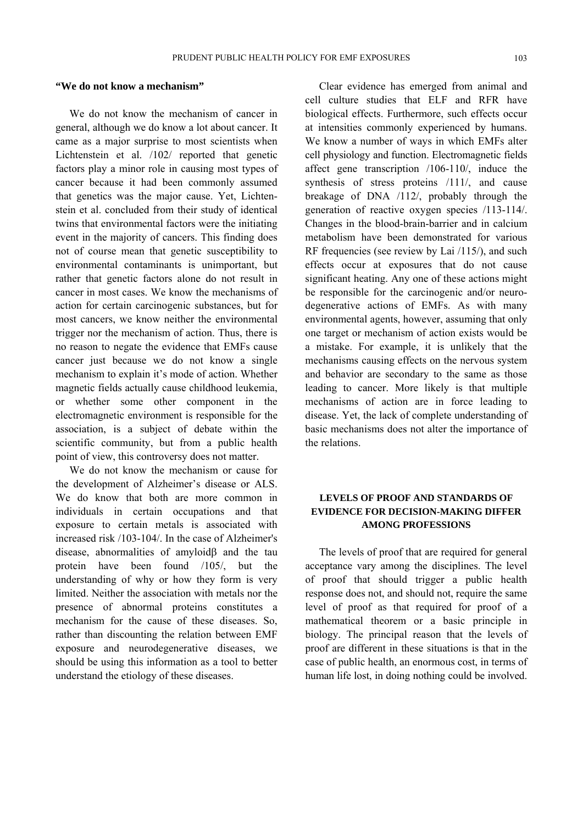#### **"We do not know a mechanism"**

We do not know the mechanism of cancer in general, although we do know a lot about cancer. It came as a major surprise to most scientists when Lichtenstein et al. /102/ reported that genetic factors play a minor role in causing most types of cancer because it had been commonly assumed that genetics was the major cause. Yet, Lichtenstein et al. concluded from their study of identical twins that environmental factors were the initiating event in the majority of cancers. This finding does not of course mean that genetic susceptibility to environmental contaminants is unimportant, but rather that genetic factors alone do not result in cancer in most cases. We know the mechanisms of action for certain carcinogenic substances, but for most cancers, we know neither the environmental trigger nor the mechanism of action. Thus, there is no reason to negate the evidence that EMFs cause cancer just because we do not know a single mechanism to explain it's mode of action. Whether magnetic fields actually cause childhood leukemia, or whether some other component in the electromagnetic environment is responsible for the association, is a subject of debate within the scientific community, but from a public health point of view, this controversy does not matter.

We do not know the mechanism or cause for the development of Alzheimer's disease or ALS. We do know that both are more common in individuals in certain occupations and that exposure to certain metals is associated with increased risk /103-104/. In the case of Alzheimer's disease, abnormalities of amyloidβ and the tau protein have been found /105/, but the understanding of why or how they form is very limited. Neither the association with metals nor the presence of abnormal proteins constitutes a mechanism for the cause of these diseases. So, rather than discounting the relation between EMF exposure and neurodegenerative diseases, we should be using this information as a tool to better understand the etiology of these diseases.

Clear evidence has emerged from animal and cell culture studies that ELF and RFR have biological effects. Furthermore, such effects occur at intensities commonly experienced by humans. We know a number of ways in which EMFs alter cell physiology and function. Electromagnetic fields affect gene transcription /106-110/, induce the synthesis of stress proteins /111/, and cause breakage of DNA /112/, probably through the generation of reactive oxygen species /113-114/. Changes in the blood-brain-barrier and in calcium metabolism have been demonstrated for various RF frequencies (see review by Lai /115/), and such effects occur at exposures that do not cause significant heating. Any one of these actions might be responsible for the carcinogenic and/or neurodegenerative actions of EMFs. As with many environmental agents, however, assuming that only one target or mechanism of action exists would be a mistake. For example, it is unlikely that the mechanisms causing effects on the nervous system and behavior are secondary to the same as those leading to cancer. More likely is that multiple mechanisms of action are in force leading to disease. Yet, the lack of complete understanding of basic mechanisms does not alter the importance of the relations.

# **LEVELS OF PROOF AND STANDARDS OF EVIDENCE FOR DECISION-MAKING DIFFER AMONG PROFESSIONS**

The levels of proof that are required for general acceptance vary among the disciplines. The level of proof that should trigger a public health response does not, and should not, require the same level of proof as that required for proof of a mathematical theorem or a basic principle in biology. The principal reason that the levels of proof are different in these situations is that in the case of public health, an enormous cost, in terms of human life lost, in doing nothing could be involved.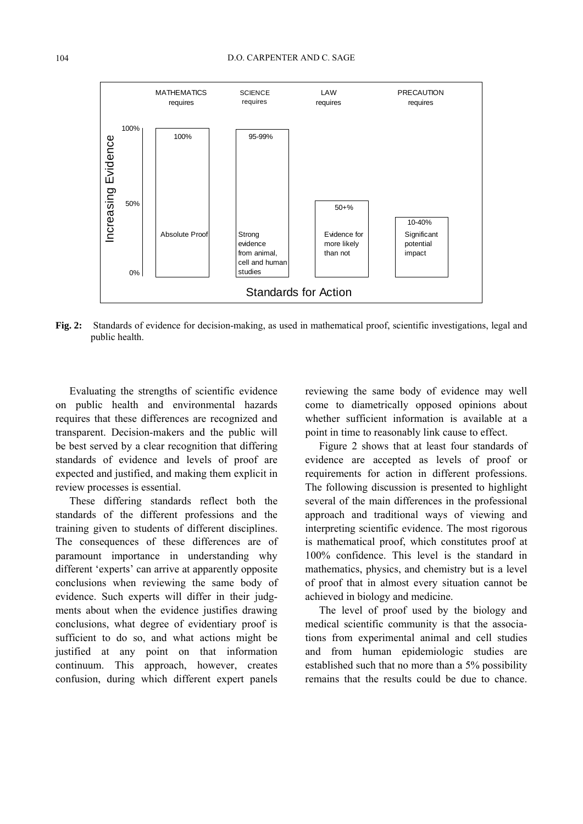

**Fig. 2:** Standards of evidence for decision-making, as used in mathematical proof, scientific investigations, legal and public health.

Evaluating the strengths of scientific evidence on public health and environmental hazards requires that these differences are recognized and transparent. Decision-makers and the public will be best served by a clear recognition that differing standards of evidence and levels of proof are expected and justified, and making them explicit in review processes is essential.

These differing standards reflect both the standards of the different professions and the training given to students of different disciplines. The consequences of these differences are of paramount importance in understanding why different 'experts' can arrive at apparently opposite conclusions when reviewing the same body of evidence. Such experts will differ in their judgments about when the evidence justifies drawing conclusions, what degree of evidentiary proof is sufficient to do so, and what actions might be justified at any point on that information continuum. This approach, however, creates confusion, during which different expert panels reviewing the same body of evidence may well come to diametrically opposed opinions about whether sufficient information is available at a point in time to reasonably link cause to effect.

Figure 2 shows that at least four standards of evi dence are accepted as levels of proof or requirements for action in different professions. The following discussion is presented to highlight several of the main differences in the professional approach and traditional ways of viewing and interpreting scientific evidence. The most rigorous is mathematical proof, which constitutes proof at 100% confidence. This level is the standard in mathematics, physics, and chemistry but is a level of proof that in almost every situation cannot be achieved in biology and medicine.

The level of proof used by the biology and me dical scientific community is that the associaremains that the results could be due to chance. tions from experimental animal and cell studies and from human epidemiologic studies are established such that no more than a 5% possibility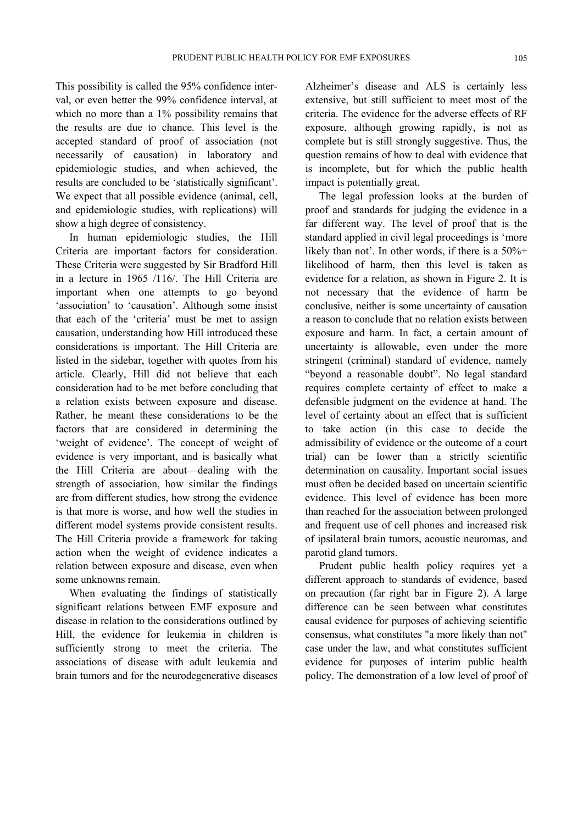This possibility is called the 95% confidence interval, or even better the 99% confidence interval, at which no more than a 1% possibility remains that the results are due to chance. This level is the accepted standard of proof of association (not necessarily of causation) in laboratory and epidemiologic studies, and when achieved, the results are concluded to be 'statistically significant'. We expect that all possible evidence (animal, cell, and epidemiologic studies, with replications) will show a high degree of consistency.

In human epidemiologic studies, the Hill Criteria are important factors for consideration. Th ese Criteria were suggested by Sir Bradford Hill in a lecture in 1965 /116/. The Hill Criteria are important when one attempts to go beyond 'association' to 'causation'. Although some insist that each of the 'criteria' must be met to assign causation, understanding how Hill introduced these considerations is important. The Hill Criteria are listed in the sidebar, together with quotes from his article. Clearly, Hill did not believe that each consideration had to be met before concluding that a relation exists between exposure and disease. Rather, he meant these considerations to be the factors that are considered in determining the 'weight of evidence'. The concept of weight of evidence is very important, and is basically what the Hill Criteria are about—dealing with the strength of association, how similar the findings are from different studies, how strong the evidence is that more is worse, and how well the studies in different model systems provide consistent results. The Hill Criteria provide a framework for taking action when the weight of evidence indicates a relation between exposure and disease, even when some unknowns remain.

significant relations between EMF exposure and dis ease in relation to the considerations outlined by When evaluating the findings of statistically Hill, the evidence for leukemia in children is sufficiently strong to meet the criteria. The associations of disease with adult leukemia and brain tumors and for the neurodegenerative diseases

Alzheimer's disease and ALS is certainly less extensive, but still sufficient to meet most of the criteria. The evidence for the adverse effects of RF exposure, although growing rapidly, is not as complete but is still strongly suggestive. Thus, the question remains of how to deal with evidence that is incomplete, but for which the public health impact is potentially great.

proof and standards for judging the evidence in a far different way. The level of proof that is the The legal profession looks at the burden of standard applied in civil legal proceedings is 'more likely than not'. In other words, if there is a 50%+ likelihood of harm, then this level is taken as evidence for a relation, as shown in Figure 2. It is not necessary that the evidence of harm be conclusive, neither is some uncertainty of causation a reason to conclude that no relation exists between exposure and harm. In fact, a certain amount of uncertainty is allowable, even under the more stringent (criminal) standard of evidence, namely "beyond a reasonable doubt". No legal standard requires complete certainty of effect to make a defensible judgment on the evidence at hand. The level of certainty about an effect that is sufficient to take action (in this case to decide the admissibility of evidence or the outcome of a court trial) can be lower than a strictly scientific determination on causality. Important social issues must often be decided based on uncertain scientific evidence. This level of evidence has been more than reached for the association between prolonged and frequent use of cell phones and increased risk of ipsilateral brain tumors, acoustic neuromas, and parotid gland tumors.

different approach to standards of evidence, based on precaution (far right bar in Figure 2). A large Prudent public health policy requires yet a difference can be seen between what constitutes causal evidence for purposes of achieving scientific consensus, what constitutes "a more likely than not" case under the law, and what constitutes sufficient evidence for purposes of interim public health policy. The demonstration of a low level of proof of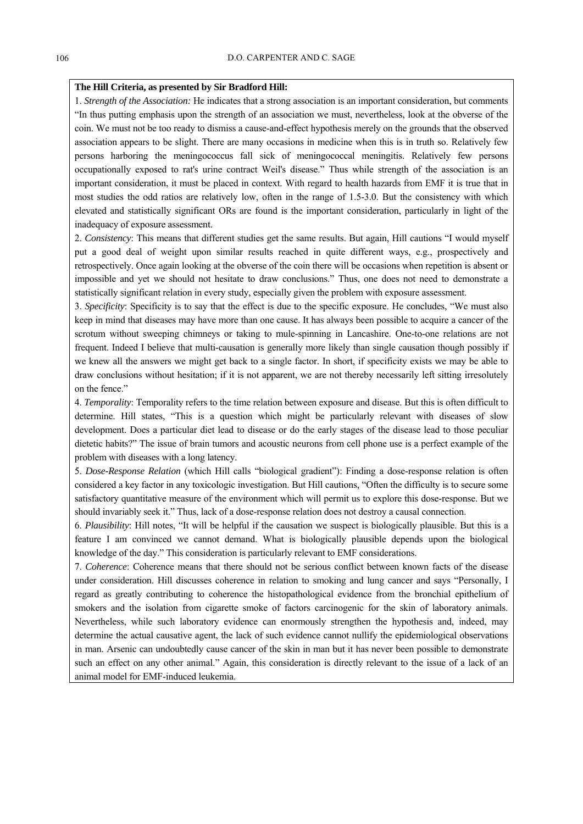#### **The Hill Criteria, as presented by Sir Bradford Hill:**

1. *Strength of the Association:* He indicates that a strong association is an important consideration, but comments "In thus putting emphasis upon the strength of an association we must, nevertheless, look at the obverse of the coin. We must not be too ready to dismiss a cause-and-effect hypothesis merely on the grounds that the observed association appears to be slight. There are many occasions in medicine when this is in truth so. Relatively few persons harboring the meningococcus fall sick of meningococcal meningitis. Relatively few persons occupationally exposed to rat's urine contract Weil's disease." Thus while strength of the association is an important consideration, it must be placed in context. With regard to health hazards from EMF it is true that in most studies the odd ratios are relatively low, often in the range of 1.5-3.0. But the consistency with which elevated and statistically significant ORs are found is the important consideration, particularly in light of the inadequacy of exposure assessment.

2. *Consistency*: This means that different studies get the same results. But again, Hill cautions "I would myself put a good deal of weight upon similar results reached in quite different ways, e.g., prospectively and retrospectively. Once again looking at the obverse of the coin there will be occasions when repetition is absent or impossible and yet we should not hesitate to draw conclusions." Thus, one does not need to demonstrate a statistically significant relation in every study, especially given the problem with exposure assessment.

3. *Specificity*: Specificity is to say that the effect is due to the specific exposure. He concludes, "We must also keep in mind that diseases may have more than one cause. It has always been possible to acquire a cancer of the scrotum without sweeping chimneys or taking to mule-spinning in Lancashire. One-to-one relations are not frequent. Indeed I believe that multi-causation is generally more likely than single causation though possibly if we knew all the answers we might get back to a single factor. In short, if specificity exists we may be able to draw conclusions without hesitation; if it is not apparent, we are not thereby necessarily left sitting irresolutely on the fence."

4. *Temporality*: Temporality refers to the time relation between exposure and disease. But this is often difficult to determine. Hill states, "This is a question which might be particularly relevant with diseases of slow development. Does a particular diet lead to disease or do the early stages of the disease lead to those peculiar dietetic habits?" The issue of brain tumors and acoustic neurons from cell phone use is a perfect example of the problem with diseases with a long latency.

5. *Dose-Response Relation* (which Hill calls "biological gradient"): Finding a dose-response relation is often considered a key factor in any toxicologic investigation. But Hill cautions, "Often the difficulty is to secure some satisfactory quantitative measure of the environment which will permit us to explore this dose-response. But we should invariably seek it." Thus, lack of a dose-response relation does not destroy a causal connection.

6. *Plausibility*: Hill notes, "It will be helpful if the causation we suspect is biologically plausible. But this is a feature I am convinced we cannot demand. What is biologically plausible depends upon the biological knowledge of the day." This consideration is particularly relevant to EMF considerations.

7. *Coherence*: Coherence means that there should not be serious conflict between known facts of the disease under consideration. Hill discusses coherence in relation to smoking and lung cancer and says "Personally, I regard as greatly contributing to coherence the histopathological evidence from the bronchial epithelium of smokers and the isolation from cigarette smoke of factors carcinogenic for the skin of laboratory animals. Nevertheless, while such laboratory evidence can enormously strengthen the hypothesis and, indeed, may determine the actual causative agent, the lack of such evidence cannot nullify the epidemiological observations in man. Arsenic can undoubtedly cause cancer of the skin in man but it has never been possible to demonstrate such an effect on any other animal." Again, this consideration is directly relevant to the issue of a lack of an animal model for EMF-induced leukemia.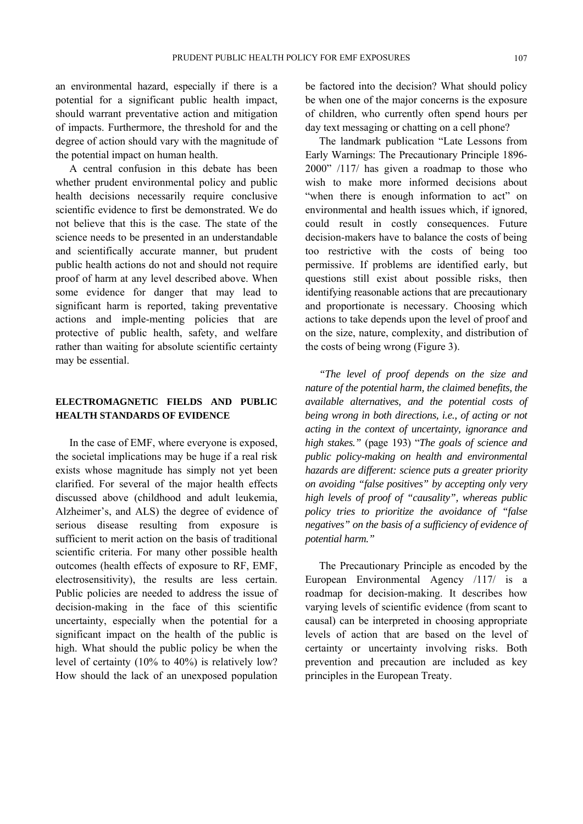an environmental hazard, especially if there is a potential for a significant public health impact, should warrant preventative action and mitigation of impacts. Furthermore, the threshold for and the degree of action should vary with the magnitude of the potential impact on human health.

A central confusion in this debate has been wh ether prudent environmental policy and public health decisions necessarily require conclusive scientific evidence to first be demonstrated. We do not believe that this is the case. The state of the science needs to be presented in an understandable and scientifically accurate manner, but prudent public health actions do not and should not require proof of harm at any level described above. When some evidence for danger that may lead to significant harm is reported, taking preventative actions and imple-menting policies that are protective of public health, safety, and welfare rather than waiting for absolute scientific certainty may be essential.

# **ELECTROMAGNETIC FIELDS AND PUBLIC HEALTH STANDARDS OF EVIDENCE**

In the case of EMF, where everyone is exposed, the societal implications may be huge if a real risk exists whose magnitude has simply not yet been clarified. For several of the major health effects discussed above (childhood and adult leukemia, Alzheimer's, and ALS) the degree of evidence of serious disease resulting from exposure is sufficient to merit action on the basis of traditional scientific criteria. For many other possible health outcomes (health effects of exposure to RF, EMF, electrosensitivity), the results are less certain. Public policies are needed to address the issue of decision-making in the face of this scientific uncertainty, especially when the potential for a significant impact on the health of the public is high. What should the public policy be when the level of certainty (10% to 40%) is relatively low? How should the lack of an unexposed population

be factored into the decision? What should policy be when one of the major concerns is the exposure of children, who currently often spend hours per day text messaging or chatting on a cell phone?

Early Warnings: The Precautionary Principle 1896-200 0" /117/ has given a roadmap to those who The landmark publication "Late Lessons from wish to make more informed decisions about "when there is enough information to act" on environmental and health issues which, if ignored, could result in costly consequences. Future decision-makers have to balance the costs of being too restrictive with the costs of being too permissive. If problems are identified early, but questions still exist about possible risks, then identifying reasonable actions that are precautionary and proportionate is necessary. Choosing which actions to take depends upon the level of proof and on the size, nature, complexity, and distribution of the costs of being wrong (Figure 3).

"The level of proof depends on the size and *nature of the potential harm, the claimed benefits, the ava ilable alternatives, and the potential costs of being wrong in both directions, i.e., of acting or not acting in the context of uncertainty, ignorance and high stakes."* (page 193) "*The goals of science and public policy-making on health and environmental hazards are different: science puts a greater priority on avoiding "false positives" by accepting only very high levels of proof of "causality", whereas public policy tries to prioritize the avoidance of "false negatives" on the basis of a sufficiency of evidence of potential harm."* 

The Precautionary Principle as encoded by the European Environmental Agency /117/ is a roa dmap for decision-making. It describes how varying levels of scientific evidence (from scant to causal) can be interpreted in choosing appropriate levels of action that are based on the level of certainty or uncertainty involving risks. Both prevention and precaution are included as key principles in the European Treaty.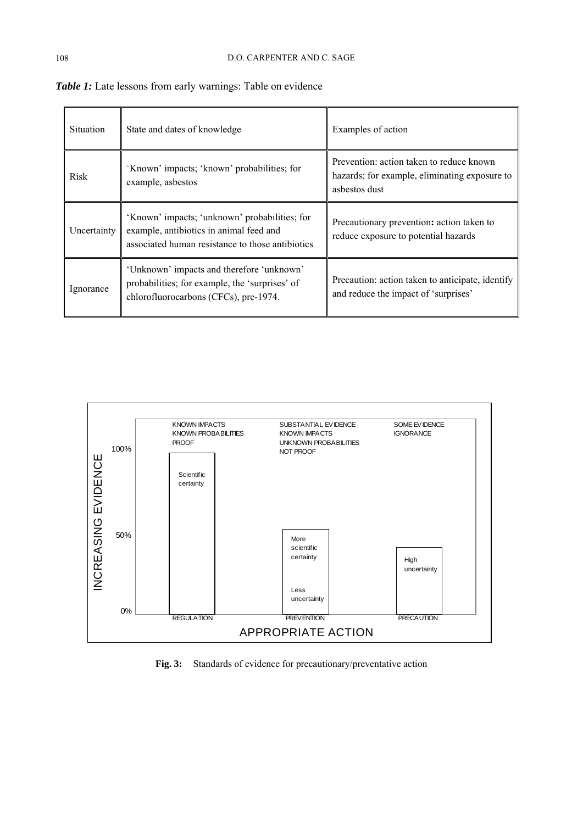| <b>Situation</b> | State and dates of knowledge                                                                                                                 | Examples of action                                                                                         |
|------------------|----------------------------------------------------------------------------------------------------------------------------------------------|------------------------------------------------------------------------------------------------------------|
| <b>Risk</b>      | 'Known' impacts; 'known' probabilities; for<br>example, asbestos                                                                             | Prevention: action taken to reduce known<br>hazards; for example, eliminating exposure to<br>asbestos dust |
| Uncertainty      | 'Known' impacts; 'unknown' probabilities; for<br>example, antibiotics in animal feed and<br>associated human resistance to those antibiotics | Precautionary prevention: action taken to<br>reduce exposure to potential hazards                          |
| Ignorance        | 'Unknown' impacts and therefore 'unknown'<br>probabilities; for example, the 'surprises' of<br>chlorofluorocarbons (CFCs), pre-1974.         | Precaution: action taken to anticipate, identify<br>and reduce the impact of 'surprises'                   |

**Table 1:** Late lessons from early warnings: Table on evidence



**Fig. 3:** Standards of evidence for precautionary/preventative action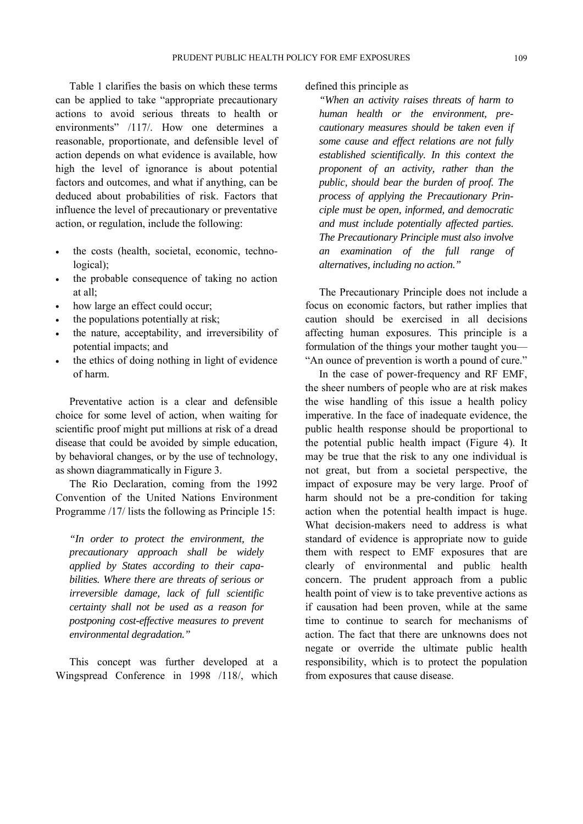Table 1 clarifies the basis on which these terms can be applied to take "appropriate precautionary actions to avoid serious threats to health or environments" /117/. How one determines a reasonable, proportionate, and defensible level of action depends on what evidence is available, how high the level of ignorance is about potential factors and outcomes, and what if anything, can be deduced about probabilities of risk. Factors that influence the level of precautionary or preventative action, or regulation, include the following:

- the costs (health, societal, economic, technological); •
- the probable consequence of taking no action at all; •
- how large an effect could occur; •
- the populations potentially at risk; •
- the nature, acceptability, and irreversibility of potential impacts; and •
- the ethics of doing nothing in light of evidence of harm.

Preventative action is a clear and defensible choice for some level of action, when waiting for scientific proof might put millions at risk of a dread disease that could be avoided by simple education, by behavioral changes, or by the use of technology, as shown diagrammatically in Figure 3.

Convention of the United Nations Environment Programme /17/ lists the following as Principle 15: The Rio Declaration, coming from the 1992

"In order to protect the environment, the *p recautionary approach shall be widely a by States according to their capa-pplied*  bilities. Where there are threats of serious or irreversible damage, lack of full scientific *c ertainty shall not be used as a reason for p measures to prevent ostponing cost-effective e nvironmental degradation."* 

This concept was further developed at a Wingspread Conference in 1998 /118/, which

defined this principle as

*"When an activity raises threats of harm to human health or the environment, precautionary measures should be taken even if some cause and effect relations are not fully established scientifically. In this context the proponent of an activity, rather than the public, should bear the burden of proof. The process of applying the Precautionary Principle must be open, informed, and democratic and must include potentially affected parties. The Precautionary Principle must also involve an examination of the full range of alternatives, including no action."* 

The Precautionary Principle does not include a focus on economic factors, but rather implies that caution should be exercised in all decisions affecting human exposures. This principle is a formulation of the things your mother taught you— "A n ounce of prevention is worth a pound of cure."

public health response should be proportional to the potential public health impact (Figure 4). It impact of exposure may be very large. Proof of harm should not be a pre-condition for taking action when the potential health impact is huge. What decision-makers need to address is what standard of evidence is appropriate now to guide them with respect to EMF exposures that are clearly of environmental and public health concern. The prudent approach from a public health point of view is to take preventive actions as if causation had been proven, while at the same tim e to continue to search for mechanisms of negate or override the ultimate public health responsibility, which is to protect the population fro m exposures that cause disease. In the case of power-frequency and RF EMF, the sheer numbers of people who are at risk makes the wise handling of this issue a health policy imperative. In the face of inadequate evidence, the may be true that the risk to any one individual is not great, but from a societal perspective, the action. The fact that there are unknowns does not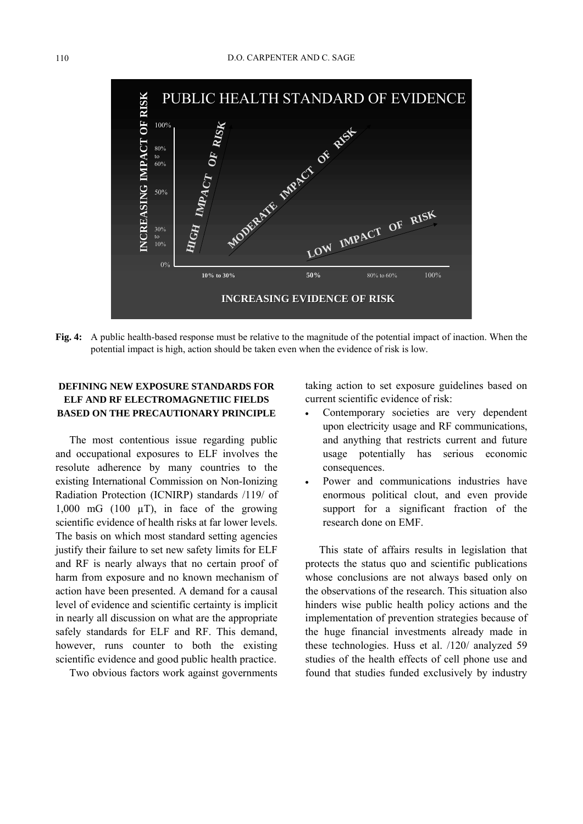

Fig. 4: A public health-based response must be relative to the magnitude of the potential impact of inaction. When the potential impact is high, action should be taken even when the evidence of risk is low.

## **DEFINING NEW EXPOSURE STANDARDS FOR ELF AND RF ELECTROMAGNETIIC FIELDS BASED ON T HE PRECAUTIONARY PRINCIPLE**

The mo st contentious issue regarding public and occupati onal exposures to ELF involves the resolute adherence by many countries to the existing Inte rnational Commission on Non-Ionizing 1,000 mG  $(100 \mu T)$ , in face of the growing scientific ev idence of health risks at far lower levels. The basis o n which most standard setting agencies justify their failure to set new safety limits for ELF and RF is nearly always that no certain proof of harm from exposure and no known mechanism of in nearly all discussion on what are the appropriate however, runs counter to both the existing these technologies. Huss et al.  $/120/$  analy scientific evidence and good public health practice. Radiation Protection (ICNIRP) standards /119/ of action have been presented. A demand for a causal level of evidence and scientific certainty is implicit safely standards for ELF and RF. This demand,

Two obvious factors work against governments

taking action to set exposure guidelines based on current scientific evidence of risk:

- Contemporary societies are very dependent upon electricity usage and RF communications, and anything that restricts current and future usage potentially has serious economic consequences.
- Power and communications industries have enormous political clout, and even provide support for a significant fraction of the research done on EMF.

This state of affairs results in legislation that protects the status quo and scientific publications whose conclusions are not always based only on the observations of the research. This situation also hinders wise public health policy actions and the these technologies. Huss et al. /120/ analyzed 59 studies of the health effects of cell phone use and found that studies funded exclusively by industry implementation of prevention strategies because of the huge financial investments already made in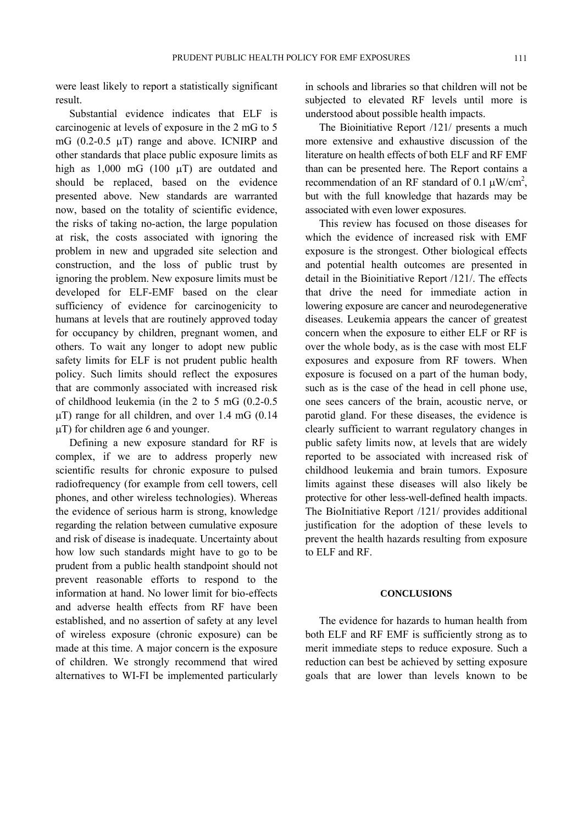were least likely to report a statistically significant result.

Substantial evidence indicates that ELF is carcinogenic at levels of exposure in the 2 mG to 5 mG (0.2-0.5 μT) range and above. ICNIRP and po licy. Such limits should reflect the exposures of childhood leukemia (in the 2 to 5 mG  $(0.2-0.5$ )  $\mu$ T) range for all children, and over 1.4 mG (0.14 μT) for children age 6 and younger. other standards that place public exposure limits as high as 1,000 mG (100 μT) are outdated and should be replaced, based on the evidence presented above. New standards are warranted now, based on the totality of scientific evidence, the risks of taking no-action, the large population at risk, the costs associated with ignoring the problem in new and upgraded site selection and construction, and the loss of public trust by ignoring the problem. New exposure limits must be developed for ELF-EMF based on the clear sufficiency of evidence for carcinogenicity to humans at levels that are routinely approved today for occupancy by children, pregnant women, and others. To wait any longer to adopt new public safety limits for ELF is not prudent public health that are commonly associated with increased risk

D efining a new exposure standard for RF is com plex, if we are to address properly new scientific results for chronic exposure to pulsed pho nes, and other wireless technologies). Whereas the evidence of serious harm is strong, knowledge regarding the relation between cumulative exposure and risk of disease is inadequate. Uncertainty about ho w low such standards might have to go to be radiofrequency (for example from cell towers, cell prudent from a public health standpoint should not prevent reasonable efforts to respond to the information at hand. No lower limit for bio-effects and adverse health effects from RF have been established, and no assertion of safety at any level of wireless exposure (chronic exposure) can be made at this time. A major concern is the exposure of children. We strongly recommend that wired alternatives to WI-FI be implemented particularly

subjected to elevated RF levels until more is und erstood about possible health impacts. in schools and libraries so that children will not be

The Bioinitiative Report /121/ presents a much more extensive and exhaustive discussion of the literature on health effects of both ELF and RF EMF than can be presented here. The Report contains a recommendation of an RF standard of 0.1  $\mu$ W/cm<sup>2</sup>, but with the full knowledge that hazards may be associated with even lower exposures.

clearly sufficient to warrant regulatory changes in pub lic safety limits now, at levels that are widely This review has focused on those diseases for which the evidence of increased risk with EMF exposure is the strongest. Other biological effects and potential health outcomes are presented in detail in the Bioinitiative Report /121/. The effects that drive the need for immediate action in lowering exposure are cancer and neurodegenerative diseases. Leukemia appears the cancer of greatest concern when the exposure to either ELF or RF is over the whole body, as is the case with most ELF exposures and exposure from RF towers. When exposure is focused on a part of the human body, such as is the case of the head in cell phone use, one sees cancers of the brain, acoustic nerve, or parotid gland. For these diseases, the evidence is reported to be associated with increased risk of childhood leukemia and brain tumors. Exposure limits against these diseases will also likely be protective for other less-well-defined health impacts. The BioInitiative Report /121/ provides additional justification for the adoption of these levels to prevent the health hazards resulting from exposure to ELF and RF.

### **CONCLUSIONS**

The evidence for hazards to human health from both ELF and RF EMF is sufficiently strong as to merit immediate steps to reduce exposure. Such a reduction can best be achieved by setting exposure goals that are lower than levels known to be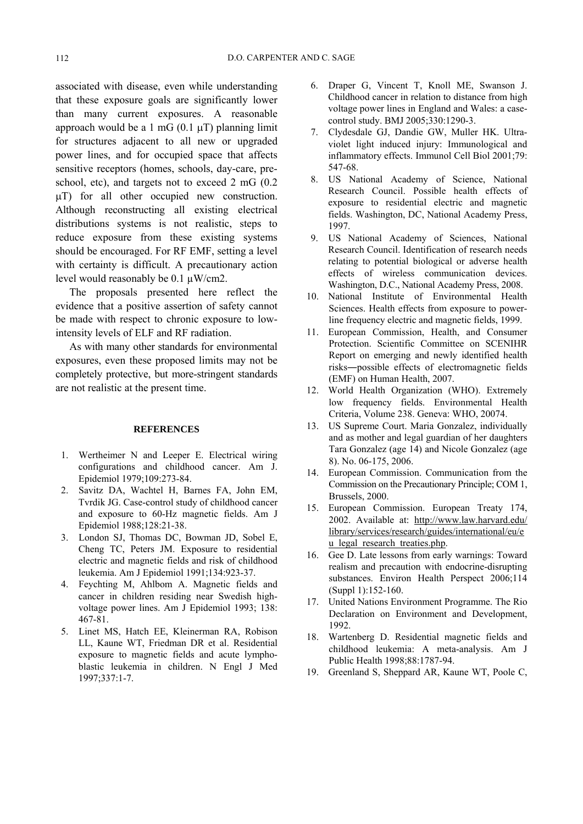associated with disease, even while understanding that these exposure goals are significantly lower than many current exposures. A reasonable ap proach would be a 1 mG (0.1 μT) planning limit Although reconstructing all existing electrical dis tributions systems is not realistic, steps to for structures adjacent to all new or upgraded power lines, and for occupied space that affects sensitive receptors (homes, schools, day-care, preschool, etc), and targets not to exceed 2 mG (0.2 μT) for all other occupied new construction. reduce exposure from these existing systems should be encouraged. For RF EMF, setting a level with certainty is difficult. A precautionary action level would reasonably be 0.1 µW/cm2.

The proposals presented here reflect the evidence that a positive assertion of safety cannot be made with respect to chronic exposure to lowintensity levels of ELF and RF radiation.

As with many other standards for environmental exposures, even these proposed limits may not be completely protective, but more-stringent standards are not realistic at the present time.

#### **REFERENCES**

- 1. Wertheimer N and Leeper E. Electrical wiring configurations and childhood cancer. Am J. Epidemiol 1979;109:273-84.
- 2. Savitz DA, Wachtel H, Barnes FA, John EM, Tvrdik JG. Case-control study of childhood cancer and exposure to 60-Hz magnetic fields. Am J Epidemiol 1988;128:21-38.
- Cheng TC, Peters JM. Exposure to residential electric and magnetic fields and risk of childhood leukemia. Am J Epidemiol 1991;134:923-37. 3. London SJ, Thomas DC, Bowman JD, Sobel E,
- 4. Feychting M, Ahlbom A. Magnetic fields and cancer in children residing near Swedish highvoltage power lines. Am J Epidemiol 1993; 138: 467-81.
- 5. Linet MS, Hatch EE, Kleinerman RA, Robison LL, Kaune WT, Friedman DR et al. Residential exposure to magnetic fields and acute lymphoblastic leukemia in children. N Engl J Med 1997;337:1-7.
- 6. Draper G, Vincent T, Knoll ME, Swanson J. Childhood cancer in relation to distance from high voltage power lines in England and Wales: a casecontrol study. BMJ 2005;330:1290-3.
- 7. Clydesdale GJ, Dandie GW, Muller HK. Ultraviolet light induced injury: Immunological and inflammatory effects. Immunol Cell Biol 2001;79: 547-68.
- 8. US National Academy of Science, National Research Council. Possible health effects of exposure to residential electric and magnetic fields. Washington, DC, National Academy Press, 1997.
- 9. US National Academy of Sciences, National Research Council. Identification of research needs relating to potential biological or adverse health effects of wireless communication devices. Washington, D.C., National Academy Press, 2008.
- 10. National Institute of Environmental Health Sciences. Health effects from exposure to powerline frequency electric and magnetic fields, 1999.
- 11. European Commission, Health, and Consumer Protection. Scientific Committee on SCENIHR Report on emerging and newly identified health risks―possible effects of electromagnetic fields (EMF) on Human Health, 2007.
- 12. World Health Organization (WHO). Extremely low frequency fields. Environmental Health Criteria, Volume 238. Geneva: WHO, 20074.
- 13. US Supreme Court. Maria Gonzalez, individually and as mother and legal guardian of her daughters Tara Gonzalez (age 14) and Nicole Gonzalez (age 8). No. 06-175, 2006.
- 14. European Commission. Communication from the Commission on the Precautionary Principle; COM 1, Brussels, 2000.
- 15. European Commission. European Treaty 174, 2002. Available at: [http://www.law.harvard.edu/](http://www.ncbi.nlm.nih.gov/sites/entrez?Db=pubmed&Cmd=Search&Term=%22John%20EM%22%5BAuthor%5D&itool=EntrezSystem2.PEntrez.Pubmed.Pubmed_ResultsPanel.Pubmed_DiscoveryPanel.Pubmed_RVAbstractPlus) library/services/research/guides/international/eu/e u legal research treaties.php.
- 16. Gee D. Late lessons from early warnings: Toward realism and precaution with endocrine-disrupting substances. Environ Health Perspect 2006;114 (Suppl 1):152-160.
- 17. United Nations Environment Programme. The Rio Declaration on Environment and Development, 1992.
- 1 8. Wartenberg D. Residential magnetic fields and childhood leukemia: A meta-analysis. Am J Public Health 1998;88:1787-94.
- 19. Greenland S, Sheppard AR, Kaune WT, Poole C,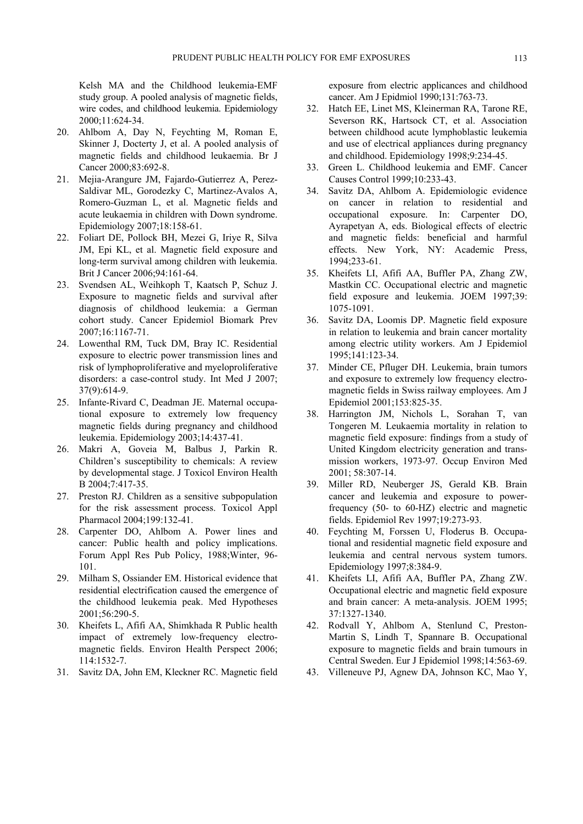Kelsh MA and the Childhood leukemia-EMF study group. A pooled analysis of magnetic fields, wire codes, and childhood leukemia. Epidemiology 2000;11:624-34.

- 2 0. Ahlbom A, Day N, Feychting M, Roman E, Cancer 2000;83:692-8. Skinner J, Docterty J, et al. A pooled analysis of magnetic fields and childhood leukaemia. Br J
- 2 1. Mejia-Arangure JM, Fajardo-Gutierrez A, Perez-Epidemiology 2007;18:158-61. Saldivar ML, Gorodezky C, Martinez-Avalos A, Romero-Guzman L, et al. Magnetic fields and acute leukaemia in children with Down syndrome.
- 2 2. Foliart DE, Pollock BH, Mezei G, Iriye R, Silva JM, Epi KL, et al. Magnetic field exposure and long-term survival among children with leukemia. Brit J Cancer 2006;94:161-64.
- 23. Svendsen AL, Weihkoph T, Kaatsch P, Schuz J. Exposure to magnetic fields and survival after diagnosis of childhood leukemia: a German cohort study. Cancer Epidemiol Biomark Prev 2007;16:1167-71.
- 24. Lowenthal RM, Tuck DM, Bray IC. Residential disorders: a case-control study. Int Med J 2007; exposure to electric power transmission lines and risk of lymphoproliferative and myeloproliferative 37(9):614-9.
- 25. Infante-Rivard C, Deadman JE. Maternal occupational exposure to extremely low frequency magnetic fields during pregnancy and childhood leukemia. Epidemiology 2003;14:437-41.
- 26. Children's susceptibility to chemicals: A review Makri A, Goveia M, Balbus J, Parkin R. by developmental stage. J Toxicol Environ Health B 2004;7:417-35.
- 27. Preston RJ. Children as a sensitive subpopulation for the risk assessment process. Toxicol Appl Pharmacol 2004;199:132-41.
- 28. Carpenter DO, Ahlbom A. Power lines and cancer: Public health and policy implications. Forum Appl Res Pub Policy, 1988;Winter, 96- 101.
- 29. Milham S, Ossiander EM. Historical evidence that residential electrification caused the emergence of the childhood leukemia peak. Med Hypotheses 2001;56:290-5.
- 30. Kheifets L, Afifi AA, Shimkhada R Public health impact of extremely low-frequency electromagnetic fields. Environ Health Perspect 2006; 114:1532-7.
- 31. Savitz DA, John EM, Kleckner RC. Magnetic field

exposure from electric applicances and childhood cancer. Am J Epidmiol 1990;131:763-73.

- 32. Severson RK, Hartsock CT, et al. Association Hatch EE, Linet MS, Kleinerman RA, Tarone RE, between childhood acute lymphoblastic leukemia and use of electrical appliances during pregnancy and childhood. Epidemiology 1998;9:234-45.
- 33. Green L. Childhood leukemia and EMF. Cancer Causes Control 1999;10:233-43.
- 34. Ayrapetyan A, eds. Biological effects of electric Savitz DA, Ahlbom A. Epidemiologic evidence on cancer in relation to residential and occupational exposure. In: Carpenter DO, and magnetic fields: beneficial and harmful effects. New York, NY: Academic Press, 1994;233-61.
- 35. Kheifets LI, Afifi AA, Buffler PA, Zhang ZW, Mastkin CC. Occupational electric and magnetic field exposure and leukemia. JOEM 1997;39: 1075-1091.
- 36. in relation to leukemia and brain cancer mortality Savitz DA, Loomis DP. Magnetic field exposure among electric utility workers. Am J Epidemiol 1995;141:123-34.
- 37. Minder CE, Pfluger DH. Leukemia, brain tumors magnetic fields in Swiss railway employees. Am J and exposure to extremely low frequency electro-Epidemiol 2001;153:825-35.
- 38. Harrington JM, Nichols L, Sorahan T, van magnetic field exposure: findings from a study of Tongeren M. Leukaemia mortality in relation to United Kingdom electricity generation and transmission workers, 1973-97. Occup Environ Med 2001; 58:307-14.
- 39. Miller RD, Neuberger JS, Gerald KB. Brain fields. Epidemiol Rev 1997;19:273-93. cancer and leukemia and exposure to powerfrequency (50- to 60-HZ) electric and magnetic
- Epidemiology 1997;8:384-9. 40. Feychting M, Forssen U, Floderus B. Occupational and residential magnetic field exposure and leukemia and central nervous system tumors.
- 41. Kheifets LI, Afifi AA, Buffler PA, Zhang ZW. Occupational electric and magnetic field exposure and brain cancer: A meta-analysis. JOEM 1995; 37:1327-1340.
- Central Sweden. Eur J Epidemiol 1998;14:563-69. 42. Rodvall Y, Ahlbom A, Stenlund C, Preston-Martin S, Lindh T, Spannare B. Occupational exposure to magnetic fields and brain tumours in
- 43. Villeneuve PJ, Agnew DA, Johnson KC, Mao Y,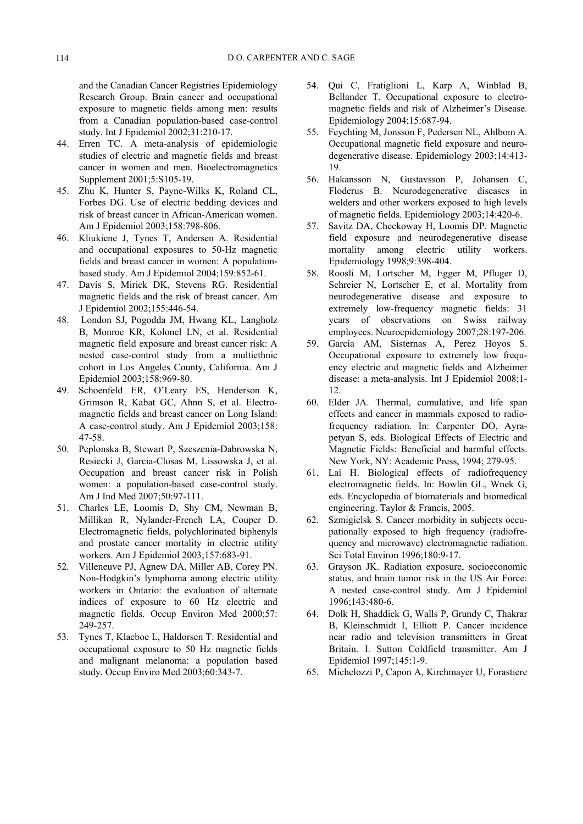and the Canadian Cancer Registries Epidemiology Research Group. Brain cancer and occupational exposure to magnetic fields among men: results from a Canadian population-based case-control study. Int J Epidemiol 2002;31:210-17.

- Erren TC. A meta-analysis of epidemiologic 44. studies of electric and magnetic fields and br east cancer in women and men. Bioelectromagnetics Supplement 2001;5:S105-19.
- 45. Zhu K, Hunter S, Payne-Wilks K, Roland CL, Forbes DG. Use of electric bedding devices and risk of breast cancer in African-American women. Am J Epidemiol 2003;158:798-806.
- 46. Kliukiene J, Tynes T, Andersen A. Residential fields and breast cancer in women: A populationand occupational exposures to 50-Hz magnetic based study. Am J Epidemiol 2004;159:852-61.
- 47. J Epidemiol 2002;155:446-54. Davis S, Mirick DK, Stevens RG. Residential magnetic fields and the risk of breast cancer. Am
- nested case-control study from a multiethnic 48. London SJ, Pogodda JM, Hwang KL, Langholz B, Monroe KR, Kolonel LN, et al. Residential magnetic field exposure and breast cancer risk: A cohort in Los Angeles County, California. Am J Epidemiol 2003;158:969-80.
- 49. Schoenfeld ER, O'Leary ES, Henderson K, Grimson R, Kabat GC, Ahnn S, et al. Electromagnetic fields and breast cancer on Long Island: A case-control study. Am J Epidemiol 2003;158: 47-58.
- 50. Peplonska B, Stewart P, Szeszenia-Dabrowska N, Occupation and breast cancer risk in Polish Resiecki J, Garcia-Closas M, Lissowska J, et al. women: a population-based case-control study. Am J Ind Med 2007;50:97-111.
- 51. Charles LE, Loomis D, Shy CM, Newman B, Millikan R, Nylander-French LA, Couper D. Electromagnetic fields, polychlorinated biphenyls and prostate cancer mortality in electric utility workers. Am J Epidemiol 2003;157:683-91.
- 52. Villeneuve PJ, Agnew DA, Miller AB, Corey PN. magnetic fields. Occup Environ Med 2000;57: Non-Hodgkin's lymphoma among electric utility workers in Ontario: the evaluation of alternate indices of exposure to 60 Hz electric and 249-257.
- 53. Tynes T, Klaeboe L, Haldorsen T. Residential and occupational exposure to 50 Hz magnetic fields and malignant melanoma: a population based study. Occup Enviro Med 2003;60:343-7.
- 54. Qui C, Fratiglioni L, Karp A, Winblad B, Bellander T. Occupational exposure to electromagnetic fields and risk of Alzheimer's Disease. Epidemiology 2004;15:687-94.
- 55. Feychting M, Jonsson F, Pedersen NL, Ahlbom A. Occupational magnetic field exposure and neurodegenerative disease. Epidemiology 2003;14:413- 19.
- 56. Hakansson N, Gustavsson P, Johansen C, Floderus B. Neurodegenerative diseases in welders and other workers exposed to high levels of magnetic fields. Epidemiology 2003;14:420-6.
- 57. Savitz DA, Checkoway H, Loomis DP. Magnetic field exposure and neurodegenerative disease mortality among electric utility workers. Epidemiology 1998;9:398-404.
- 58. extremely low-frequency magnetic fields: 31 Roosli M, Lortscher M, Egger M, Pfluger D, Schreier N, Lortscher E, et al. Mortality from neurodegenerative disease and exposure to years of observations on Swiss railway employees. Neuroepidemiology 2007;28:197-206.
- 59. Garcia AM, Sisternas A, Perez Hoyos S. disease: a meta-analysis. Int J Epidemiol 2008;1-Occupational exposure to extremely low frequency electric and magnetic fields and Alzheimer 12.
- 60. Elder JA. Thermal, cumulative, and life span petyan S, eds. Biological Effects of Electric and effects and cancer in mammals exposed to radiofrequency radiation. In: Carpenter DO, Ayra-Magnetic Fields: Beneficial and harmful effects. New York, NY: Academic Press, 1994; 279-95.
- 61. eds. Encyclopedia of biomaterials and biomedical Lai H. Biological effects of radiofrequency electromagnetic fields. In: Bowlin GL, Wnek G, engineering. Taylor & Francis, 2005.
- 62. Szmigielsk S. Cancer morbidity in subjects occupationally exposed to high frequency (radiofrequency and microwave) electromagnetic radiation. Sci Total Environ 1996;180:9-17.
- 63. Grayson JK. Radiation exposure, socioeconomic status, and brain tumor risk in the US Air Force: A nested case-control study. Am J Epidemiol 1996;143:480-6.
- 64. Dolk H, Shaddick G, Walls P, Grundy C, Thakrar B, Kleinschmidt I, Elliott P. Cancer incidence near radio and television transmitters in Great Britain. I. Sutton Coldfield transmitter. Am J Epidemiol 1997;145:1-9.
- 65. Michelozzi P, Capon A, Kirchmayer U, Forastiere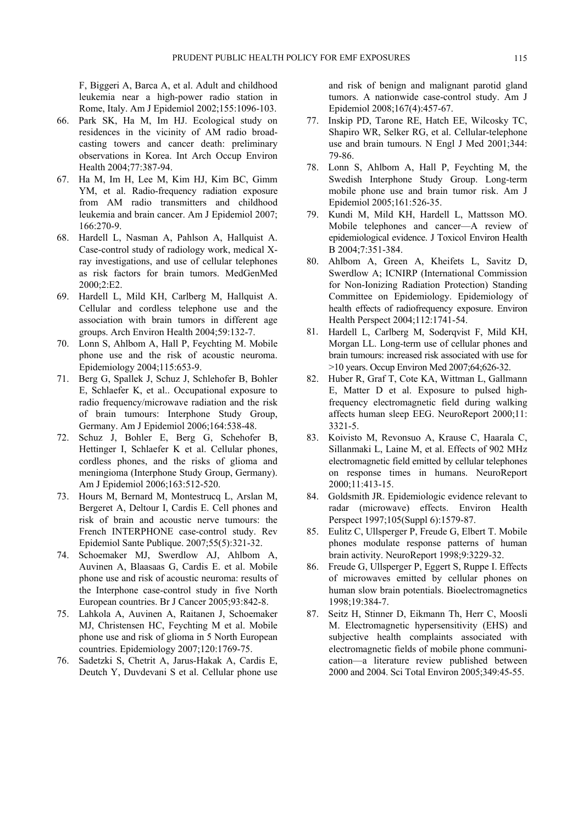F, Biggeri A, Barca A, et al. Adult and childhood leukemia near a high-power radio station in Rome, Italy. Am J Epidemiol 2002;155:1096-103.

- 66. Park SK, Ha M, Im HJ. Ecological study on Health 2004;77:387-94. residences in the vicinity of AM radio broadcasting towers and cancer death: preliminary observations in Korea. Int Arch Occup Environ
- 67. Ha M, Im H, Lee M, Kim HJ, Kim BC, Gimm YM, et al. Radio-frequency radiation exposure from AM radio transmitters and childhood leukemia and brain cancer. Am J Epidemiol 2007; 166:270-9.
- 68. Hardell L, Nasman A, Pahlson A, Hallquist A. ray investigations, and use of cellular telephones Case-control study of radiology work, medical Xas risk factors for brain tumors. MedGenMed 2000;2:E2.
- 69. Hardell L, Mild KH, Carlberg M, Hallquist A. Cellular and cordless telephone use and the association with brain tumors in different age groups. Arch Environ Health 2004;59:132-7.
- 70. Lonn S, Ahlbom A, Hall P, Feychting M. Mobile phone use and the risk of acoustic neuroma. Epidemiology 2004;115:653-9.
- 71. Berg G, Spallek J, Schuz J, Schlehofer B, Bohler E, Schlaefer K, et al.. Occupational exposure to radio frequency/microwave radiation and the risk of brain tumours: Interphone Study Group, Germany. Am J Epidemiol 2006;164:538-48.
- 72. cordless phones, and the risks of glioma and Schuz J, Bohler E, Berg G, Schehofer B, Hettinger I, Schlaefer K et al. Cellular phones, meningioma (Interphone Study Group, Germany). Am J Epidemiol 2006;163:512-520.
- 73. Hours M, Bernard M, Montestrucq L, Arslan M, Bergeret A, Deltour I, Cardis E. Cell phones and risk of brain and acoustic nerve tumours: the French INTERPHONE case-control study. Rev Epidemiol Sante Publique. 2007;55(5):321-32.
- 74. Schoemaker MJ, Swerdlow AJ, Ahlbom A, European countries. Br J Cancer 2005;93:842-8. Auvinen A, Blaasaas G, Cardis E. et al. Mobile phone use and risk of acoustic neuroma: results of the Interphone case-control study in five North
- 75. Lahkola A, Auvinen A, Raitanen J, Schoemaker MJ, Christensen HC, Feychting M et al. Mobile phone use and risk of glioma in 5 North European countries. Epidemiology 2007;120:1769-75.
- 76. Sadetzki S, Chetrit A, Jarus-Hakak A, Cardis E, Deutch Y, Duvdevani S et al. Cellular phone use

and risk of benign and malignant parotid gland tumors. A nationwide case-control study. Am J Epidemiol 2008;167(4):457-67.

- 77. Inskip PD, Tarone RE, Hatch EE, Wilcosky TC, Shapiro WR, Selker RG, et al. Cellular-telephone use and brain tumours. N Engl J Med 2001;344: 79-86.
- 78. Lonn S, Ahlbom A, Hall P, Feychting M, the Swedish Interphone Study Group. Long-term mobile phone use and brain tumor risk. Am J Epidemiol 2005;161:526-35.
- 79. Kundi M, Mild KH, Hardell L, Mattsson MO. Mobile telephones and cancer—A review of epidemiological evidence. J Toxicol Environ Health B 2004;7:351-384.
- 80. for Non-Ionizing Radiation Protection) Standing Ahlbom A, Green A, Kheifets L, Savitz D, Swerdlow A; ICNIRP (International Commission Committee on Epidemiology. Epidemiology of health effects of radiofrequency exposure. Environ Health Perspect 2004;112:1741-54.
- 81. Hardell L, Carlberg M, Soderqvist F, Mild KH,  $>10$  years. Occup Environ Med 2007;64;626-32. Morgan LL. Long-term use of cellular phones and brain tumours: increased risk associated with use for
- 82. Huber R, Graf T, Cote KA, Wittman L, Gallmann E, Matter D et al. Exposure to pulsed highfrequency electromagnetic field during walking affects human sleep EEG. NeuroReport 2000;11: 3321-5.
- 83. Koivisto M, Revonsuo A, Krause C, Haarala C, Sillanmaki L, Laine M, et al. Effects of 902 MHz electromagnetic field emitted by cellular telephones on response times in humans. NeuroReport 2000;11:413-15.
- 84. Goldsmith JR. Epidemiologic evidence relevant to radar (microwave) effects. Environ Health Perspect 1997;105(Suppl 6):1579-87.
- 85. Eulitz C, Ullsperger P, Freude G, Elbert T. Mobile phones modulate response patterns of human brain activity. NeuroReport 1998;9:3229-32.
- 86. Freude G, Ullsperger P, Eggert S, Ruppe I. Effects of microwaves emitted by cellular phones on human slow brain potentials. Bioelectromagnetics 1998;19:384-7.
- electromagnetic fields of mobile phone communi-87. Seitz H, Stinner D, Eikmann Th, Herr C, Moosli M. Electromagnetic hypersensitivity (EHS) and subjective health complaints associated with cation—a literature review published between 2000 and 2004. Sci Total Environ 2005;349:45-55.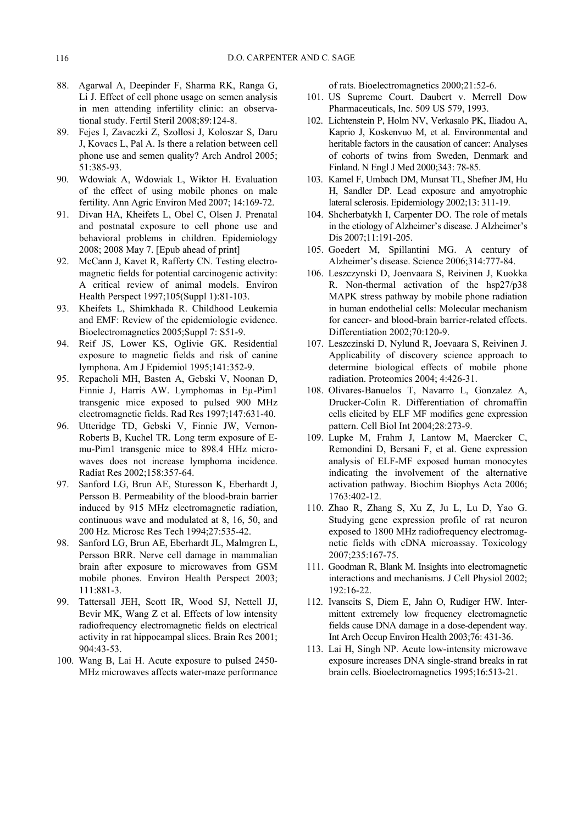- 88. in men attending infertility clinic: an observa-Agarwal A, Deepinder F, Sharma RK, Ranga G, Li J. Effect of cell phone usage on semen analysis tional study. Fertil Steril 2008;89:124-8.
- 89. phone use and semen quality? Arch Androl 2005; Fejes I, Zavaczki Z, Szollosi J, Koloszar S, Daru J, Kovacs L, Pal A. Is there a relation between cell 51:385-93.
- 90. Wdowiak A, Wdowiak L, Wiktor H. Evaluation fertility. Ann Agric Environ Med 2007; 14:169-72. of the effect of using mobile phones on male
- 2008; 2008 May 7. [Epub ahead of print] 91. Divan HA, Kheifets L, Obel C, Olsen J. Prenatal and postnatal exposure to cell phone use and behavioral problems in children. Epidemiology
- 92. McCann J, Kavet R, Rafferty CN. Testing electromagnetic fields for potential carcinogenic activity: A critical review of animal models. Environ Health Perspect 1997;105(Suppl 1):81-103.
- 93. and EMF: Review of the epidemiologic evidence. Kheifets L, Shimkhada R. Childhood Leukemia Bioelectromagnetics 2005;Suppl 7: S51-9.
- 94. Reif JS, Lower KS, Oglivie GK. Residential exposure to magnetic fields and risk of canine lymphona. Am J Epidemiol 1995;141:352-9.
- 95. Repacholi MH, Basten A, Gebski V, Noonan D, Finnie J, Harris AW. Lymphomas in Eµ-Pim1 transgenic mice exposed to pulsed 900 MHz electromagnetic fields. Rad Res 1997;147:631-40.
- 96. Utteridge TD, Gebski V, Finnie JW, Vernon-Roberts B, Kuchel TR. Long term exposure of Emu-Pim1 transgenic mice to 898.4 HHz microwaves does not increase lymphoma incidence. Radiat Res 2002;158:357-64.
- 97. Sanford LG, Brun AE, Sturesson K, Eberhardt J, continuous wave and modulated at 8, 16, 50, and Persson B. Permeability of the blood-brain barrier induced by 915 MHz electromagnetic radiation, 200 Hz. Microsc Res Tech 1994;27:535-42.
- 98. Sanford LG, Brun AE, Eberhardt JL, Malmgren L, Persson BRR. Nerve cell damage in mammalian brain after exposure to microwaves from GSM mobile phones. Environ Health Perspect 2003; 111:881-3.
- 99. Tattersall JEH, Scott IR, Wood SJ, Nettell JJ, Bevir MK, Wang Z et al. Effects of low intensity radiofrequency electromagnetic fields on electrical activity in rat hippocampal slices. Brain Res 2001; 904:43-53.
- 100. Wang B, Lai H. Acute exposure to pulsed 2450- MHz microwaves affects water-maze performance

of rats. Bioelectromagnetics 2000;21:52-6.

- 101. US Supreme Court. Daubert v. Merrell Dow Pharmaceuticals, Inc. 509 US 579, 1993.
- 102. Lichtenstein P, Holm NV, Verkasalo PK, Iliadou A, Finland. N Engl J Med 2000;343: 78-85. Kaprio J, Koskenvuo M, et al. Environmental and heritable factors in the causation of cancer: Analyses of cohorts of twins from Sweden, Denmark and
- 103. Kamel F, Umbach DM, Munsat TL, Shefner JM, Hu H, Sandler DP. Lead exposure and amyotrophic lateral sclerosis. Epidemiology 2002;13: 311-19.
- 104. Shcherbatykh I, Carpenter DO. The role of metals in the etiology of Alzheimer's disease. J Alzheimer's Dis 2007;11:191-205.
- 105. Goedert M, Spillantini MG. A century of Alzheimer's disease. Science 2006;314:777-84.
- 106. Leszczynski D, Joenvaara S, Reivinen J, Kuokka MAPK stress pathway by mobile phone radiation R. Non-thermal activation of the hsp27/p38 in human endothelial cells: Molecular mechanism for cancer- and blood-brain barrier-related effects. Differentiation 2002;70:120-9.
- determine biological effects of mobile phone 107. Leszczinski D, Nylund R, Joevaara S, Reivinen J. Applicability of discovery science approach to radiation. Proteomics 2004; 4:426-31.
- 108. Olivares-Banuelos T, Navarro L, Gonzalez A, Drucker-Colin R. Differentiation of chromaffin cells elicited by ELF MF modifies gene expression pattern. Cell Biol Int 2004;28:273-9.
- 109. Lupke M, Frahm J, Lantow M, Maercker C, indicating the involvement of the alternative Remondini D, Bersani F, et al. Gene expression analysis of ELF-MF exposed human monocytes activation pathway. Biochim Biophys Acta 2006; 1763:402-12.
- 110. Zhao R, Zhang S, Xu Z, Ju L, Lu D, Yao G. exposed to 1800 MHz radiofrequency electromag-Studying gene expression profile of rat neuron netic fields with cDNA microassay. Toxicology 2007;235:167-75.
- 111. Goodman R, Blank M. Insights into electromagnetic interactions and mechanisms. J Cell Physiol 2002; 192:16-22.
- 112. Ivanscits S, Diem E, Jahn O, Rudiger HW. Intermittent extremely low frequency electromagnetic fields cause DNA damage in a dose-dependent way. Int Arch Occup Environ Health 2003;76: 431-36.
- 113. Lai H, Singh NP. Acute low-intensity microwave exposure increases DNA single-strand breaks in rat brain cells. Bioelectromagnetics 1995;16:513-21.